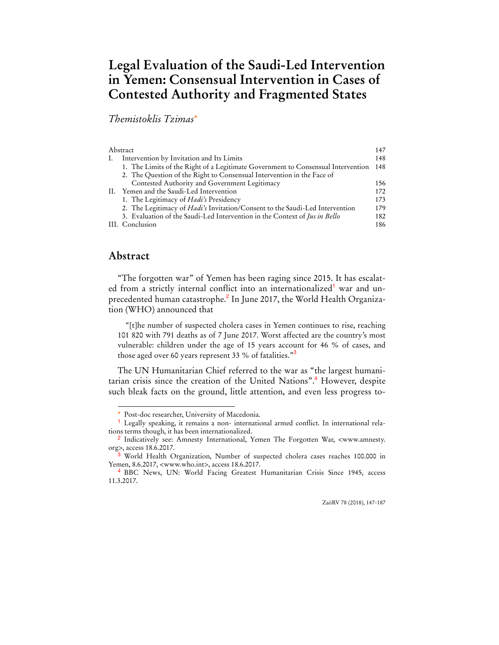# **Legal Evaluation of the Saudi-Led Intervention in Yemen: Consensual Intervention in Cases of Contested Authority and Fragmented States**

## *Themistoklis Tzimas*\*

| Abstract |                                                                                  | 147 |
|----------|----------------------------------------------------------------------------------|-----|
|          | Intervention by Invitation and Its Limits                                        | 148 |
|          | 1. The Limits of the Right of a Legitimate Government to Consensual Intervention | 148 |
|          | 2. The Question of the Right to Consensual Intervention in the Face of           |     |
|          | Contested Authority and Government Legitimacy                                    | 156 |
|          | II. Yemen and the Saudi-Led Intervention                                         | 172 |
|          | 1. The Legitimacy of <i>Hadi's</i> Presidency                                    | 173 |
|          | 2. The Legitimacy of Hadi's Invitation/Consent to the Saudi-Led Intervention     | 179 |
|          | 3. Evaluation of the Saudi-Led Intervention in the Context of Jus in Bello       | 182 |
|          | III. Conclusion                                                                  | 186 |
|          |                                                                                  |     |

## **Abstract**

 $\overline{a}$ 

"The forgotten war" of Yemen has been raging since 2015. It has escalated from a strictly internal conflict into an internationalized<sup>1</sup> war and unprecedented human catastrophe.<sup>2</sup> In June 2017, the World Health Organization (WHO) announced that

"[t]he number of suspected cholera cases in Yemen continues to rise, reaching 101 820 with 791 deaths as of 7 June 2017. Worst affected are the country's most vulnerable: children under the age of 15 years account for 46 % of cases, and those aged over 60 years represent 33 % of fatalities."<sup>3</sup>

The UN Humanitarian Chief referred to the war as "the largest humanitarian crisis since the creation of the United Nations".<sup>4</sup> However, despite such bleak facts on the ground, little attention, and even less progress to-

ZaöRV 78 (2018), 147-187

Post-doc researcher, University of Macedonia.

<sup>1</sup> Legally speaking, it remains a non- international armed conflict. In international relations terms though, it has been internationalized.

<sup>2</sup> Indicatively see: Amnesty International, Yemen The Forgotten War, <www.amnesty. org>, access 18.6.2017.

<sup>3</sup> World Health Organization, Number of suspected cholera cases reaches 100.000 in Yemen, 8.6.2017, <www.who.int>, access 18.6.2017.

<sup>4</sup> BBC News, UN: World Facing Greatest Humanitarian Crisis Since 1945, access 11.3.2017.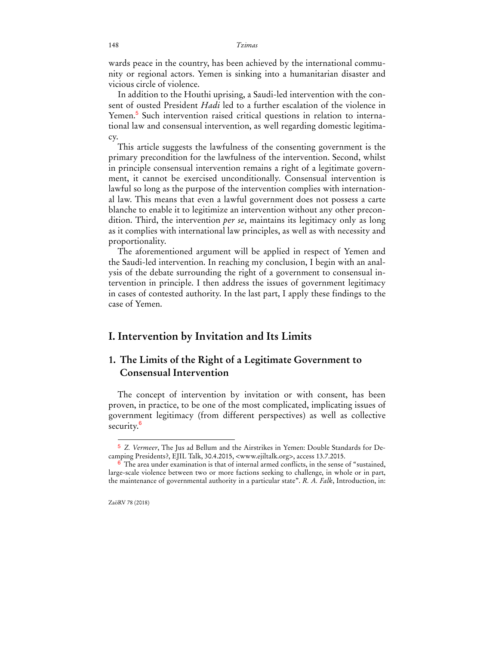wards peace in the country, has been achieved by the international community or regional actors. Yemen is sinking into a humanitarian disaster and vicious circle of violence.

In addition to the Houthi uprising, a Saudi-led intervention with the consent of ousted President *Hadi* led to a further escalation of the violence in Yemen.<sup>5</sup> Such intervention raised critical questions in relation to international law and consensual intervention, as well regarding domestic legitimacy.

This article suggests the lawfulness of the consenting government is the primary precondition for the lawfulness of the intervention. Second, whilst in principle consensual intervention remains a right of a legitimate government, it cannot be exercised unconditionally. Consensual intervention is lawful so long as the purpose of the intervention complies with international law. This means that even a lawful government does not possess a carte blanche to enable it to legitimize an intervention without any other precondition. Third, the intervention *per se*, maintains its legitimacy only as long as it complies with international law principles, as well as with necessity and proportionality.

The aforementioned argument will be applied in respect of Yemen and the Saudi-led intervention. In reaching my conclusion, I begin with an analysis of the debate surrounding the right of a government to consensual intervention in principle. I then address the issues of government legitimacy in cases of contested authority. In the last part, I apply these findings to the case of Yemen.

## **I. Intervention by Invitation and Its Limits**

## **1. The Limits of the Right of a Legitimate Government to Consensual Intervention**

The concept of intervention by invitation or with consent, has been proven, in practice, to be one of the most complicated, implicating issues of government legitimacy (from different perspectives) as well as collective security.<sup>6</sup>

<sup>5</sup> *Z. Vermeer*, The Jus ad Bellum and the Airstrikes in Yemen: Double Standards for Decamping Presidents?, EJIL Talk, 30.4.2015, <www.ejiltalk.org>, access 13.7.2015.

 $\delta$  The area under examination is that of internal armed conflicts, in the sense of "sustained, large-scale violence between two or more factions seeking to challenge, in whole or in part, the maintenance of governmental authority in a particular state". *R. A. Falk*, Introduction, in:

ZaöRV 78 (2018)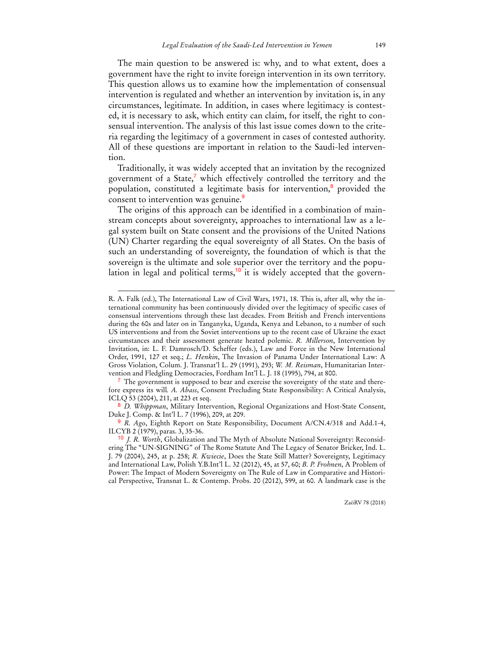The main question to be answered is: why, and to what extent, does a government have the right to invite foreign intervention in its own territory. This question allows us to examine how the implementation of consensual intervention is regulated and whether an intervention by invitation is, in any circumstances, legitimate. In addition, in cases where legitimacy is contested, it is necessary to ask, which entity can claim, for itself, the right to consensual intervention. The analysis of this last issue comes down to the criteria regarding the legitimacy of a government in cases of contested authority. All of these questions are important in relation to the Saudi-led intervention.

Traditionally, it was widely accepted that an invitation by the recognized government of a State,<sup>7</sup> which effectively controlled the territory and the population, constituted a legitimate basis for intervention,<sup>8</sup> provided the consent to intervention was genuine.<sup>9</sup>

The origins of this approach can be identified in a combination of mainstream concepts about sovereignty, approaches to international law as a legal system built on State consent and the provisions of the United Nations (UN) Charter regarding the equal sovereignty of all States. On the basis of such an understanding of sovereignty, the foundation of which is that the sovereign is the ultimate and sole superior over the territory and the population in legal and political terms,<sup>10</sup> it is widely accepted that the govern-

R. A. Falk (ed.), The International Law of Civil Wars, 1971, 18. This is, after all, why the international community has been continuously divided over the legitimacy of specific cases of consensual interventions through these last decades. From British and French interventions during the 60s and later on in Tanganyka, Uganda, Kenya and Lebanon, to a number of such US interventions and from the Soviet interventions up to the recent case of Ukraine the exact circumstances and their assessment generate heated polemic. *R. Millerson*, Intervention by Invitation, in: L. F. Damrosch/D. Scheffer (eds.), Law and Force in the New International Order, 1991, 127 et seq.; *L. Henkin*, The Invasion of Panama Under International Law: A Gross Violation, Colum. J. Transnat'l L. 29 (1991), 293; *W. M. Reisman*, Humanitarian Intervention and Fledgling Democracies, Fordham Int'l L. J. 18 (1995), 794, at 800.

<sup>&</sup>lt;sup>7</sup> The government is supposed to bear and exercise the sovereignty of the state and therefore express its will*. A. Abass*, Consent Precluding State Responsibility: A Critical Analysis, ICLQ 53 (2004), 211, at 223 et seq.

<sup>8</sup> *D. Whippman*, Military Intervention, Regional Organizations and Host-State Consent, Duke J. Comp. & Int'l L. 7 (1996), 209, at 209.

<sup>9</sup> *R. Ago*, Eighth Report on State Responsibility, Document A/CN.4/318 and Add.1-4, ILCYB 2 (1979), paras. 3, 35-36.

<sup>10</sup> *J. R. Worth*, Globalization and The Myth of Absolute National Sovereignty: Reconsidering The "UN-SIGNING" of The Rome Statute And The Legacy of Senator Bricker, Ind. L. J. 79 (2004), 245, at p. 258; *R. Kwiecie*, Does the State Still Matter? Sovereignty, Legitimacy and International Law, Polish Y.B.Int'l L. 32 (2012), 45, at 57, 60; *B. P. Frohnen*, A Problem of Power: The Impact of Modern Sovereignty on The Rule of Law in Comparative and Historical Perspective, Transnat L. & Contemp. Probs. 20 (2012), 599, at 60. A landmark case is the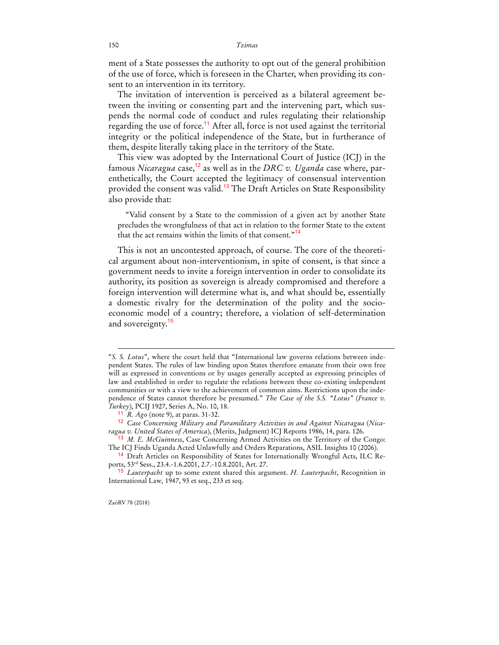ment of a State possesses the authority to opt out of the general prohibition of the use of force, which is foreseen in the Charter, when providing its consent to an intervention in its territory.

The invitation of intervention is perceived as a bilateral agreement between the inviting or consenting part and the intervening part, which suspends the normal code of conduct and rules regulating their relationship regarding the use of force.<sup>11</sup> After all, force is not used against the territorial integrity or the political independence of the State, but in furtherance of them, despite literally taking place in the territory of the State.

This view was adopted by the International Court of Justice (ICJ) in the famous *Nicaragua* case,12 as well as in the *DRC v. Uganda* case where, parenthetically, the Court accepted the legitimacy of consensual intervention provided the consent was valid.<sup>13</sup> The Draft Articles on State Responsibility also provide that:

"Valid consent by a State to the commission of a given act by another State precludes the wrongfulness of that act in relation to the former State to the extent that the act remains within the limits of that consent."<sup>14</sup>

This is not an uncontested approach, of course. The core of the theoretical argument about non-interventionism, in spite of consent, is that since a government needs to invite a foreign intervention in order to consolidate its authority, its position as sovereign is already compromised and therefore a foreign intervention will determine what is, and what should be, essentially a domestic rivalry for the determination of the polity and the socioeconomic model of a country; therefore, a violation of self-determination and sovereignty.<sup>15</sup>

<sup>&</sup>quot;*S. S. Lotus*", where the court held that "International law governs relations between independent States. The rules of law binding upon States therefore emanate from their own free will as expressed in conventions or by usages generally accepted as expressing principles of law and established in order to regulate the relations between these co-existing independent communities or with a view to the achievement of common aims. Restrictions upon the independence of States cannot therefore be presumed." *The Case of the S.S. "Lotus"* (*France v. Turkey*), PCIJ 1927, Series A, No. 10, 18.

<sup>11</sup> *R. Ago* (note 9), at paras. 31-32.

<sup>12</sup> *Case Concerning Military and Paramilitary Activities in and Against Nicaragua* (*Nicaragua v. United States of America*), (Merits, Judgment) ICJ Reports 1986, 14, para. 126.

<sup>13</sup> *M. E. McGuinness*, Case Concerning Armed Activities on the Territory of the Congo: The ICJ Finds Uganda Acted Unlawfully and Orders Reparations, ASIL Insights 10 (2006).

<sup>14</sup> Draft Articles on Responsibility of States for Internationally Wrongful Acts, ILC Reports, 53rd Sess., 23.4.-1.6.2001, 2.7.-10.8.2001, Art. 27.

<sup>15</sup> *Lauterpacht* up to some extent shared this argument. *H. Lauterpacht*, Recognition in International Law*,* 1947, 93 et seq., 233 et seq.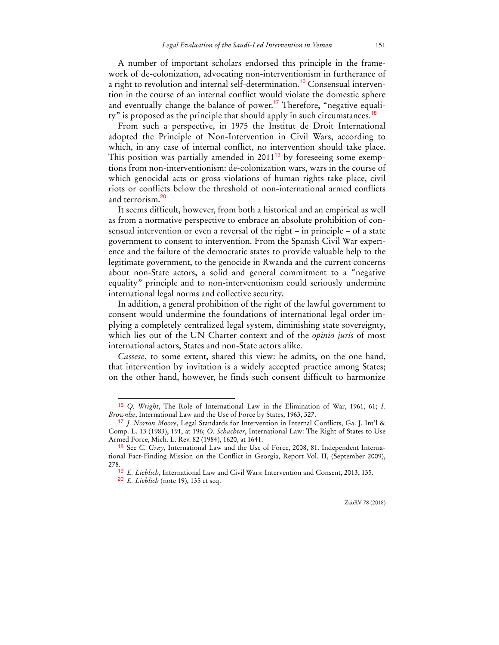A number of important scholars endorsed this principle in the framework of de-colonization, advocating non-interventionism in furtherance of a right to revolution and internal self-determination.<sup>16</sup> Consensual intervention in the course of an internal conflict would violate the domestic sphere and eventually change the balance of power.<sup>17</sup> Therefore, "negative equality" is proposed as the principle that should apply in such circumstances.<sup>18</sup>

From such a perspective, in 1975 the Institut de Droit International adopted the Principle of Non-Intervention in Civil Wars, according to which, in any case of internal conflict, no intervention should take place. This position was partially amended in  $2011<sup>19</sup>$  by foreseeing some exemptions from non-interventionism: de-colonization wars, wars in the course of which genocidal acts or gross violations of human rights take place, civil riots or conflicts below the threshold of non-international armed conflicts and terrorism.<sup>20</sup>

It seems difficult, however, from both a historical and an empirical as well as from a normative perspective to embrace an absolute prohibition of consensual intervention or even a reversal of the right – in principle – of a state government to consent to intervention. From the Spanish Civil War experience and the failure of the democratic states to provide valuable help to the legitimate government, to the genocide in Rwanda and the current concerns about non-State actors, a solid and general commitment to a "negative equality" principle and to non-interventionism could seriously undermine international legal norms and collective security.

In addition, a general prohibition of the right of the lawful government to consent would undermine the foundations of international legal order implying a completely centralized legal system, diminishing state sovereignty, which lies out of the UN Charter context and of the *opinio juris* of most international actors, States and non-State actors alike.

*Cassese*, to some extent, shared this view: he admits, on the one hand, that intervention by invitation is a widely accepted practice among States; on the other hand, however, he finds such consent difficult to harmonize

<sup>16</sup> *Q. Wright*, The Role of International Law in the Elimination of War, 1961, 61; *I. Brownlie*, International Law and the Use of Force by States, 1963, 327.

<sup>17</sup> *J. Norton Moore*, Legal Standards for Intervention in Internal Conflicts, Ga. J. Int'l & Comp. L. 13 (1983), 191, at 196; *O. Schachter*, International Law: The Right of States to Use Armed Force, Mich. L. Rev. 82 (1984), 1620, at 1641.

<sup>18</sup> See *C. Gray*, International Law and the Use of Force, 2008, 81. Independent International Fact-Finding Mission on the Conflict in Georgia, Report Vol. II, (September 2009), 278.

<sup>19</sup> *E. Lieblich*, International Law and Civil Wars: Intervention and Consent, 2013, 135.

<sup>20</sup> *E. Lieblich* (note 19), 135 et seq.

ZaöRV 78 (2018)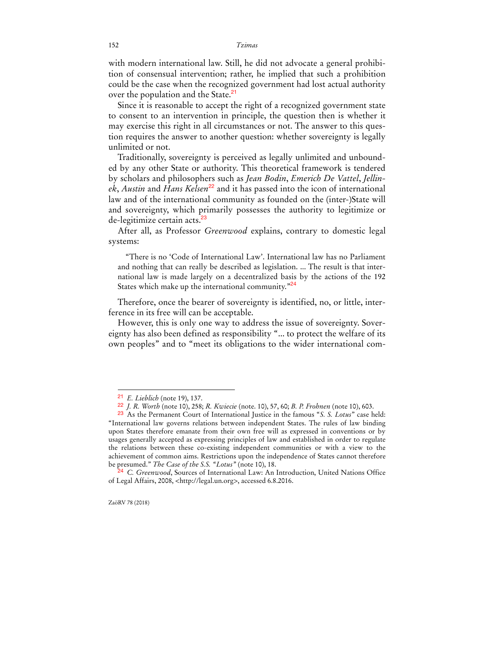with modern international law. Still, he did not advocate a general prohibition of consensual intervention; rather, he implied that such a prohibition could be the case when the recognized government had lost actual authority over the population and the State.<sup>21</sup>

Since it is reasonable to accept the right of a recognized government state to consent to an intervention in principle, the question then is whether it may exercise this right in all circumstances or not. The answer to this question requires the answer to another question: whether sovereignty is legally unlimited or not.

Traditionally, sovereignty is perceived as legally unlimited and unbounded by any other State or authority. This theoretical framework is tendered by scholars and philosophers such as *Jean Bodin*, *Emerich De Vattel*, *Jellinek*, *Austin* and *Hans Kelsen*<sup>22</sup> and it has passed into the icon of international law and of the international community as founded on the (inter-)State will and sovereignty, which primarily possesses the authority to legitimize or de-legitimize certain acts.<sup>23</sup>

After all, as Professor *Greenwood* explains, contrary to domestic legal systems:

"There is no 'Code of International Law'. International law has no Parliament and nothing that can really be described as legislation. ... The result is that international law is made largely on a decentralized basis by the actions of the 192 States which make up the international community."<sup>24</sup>

Therefore, once the bearer of sovereignty is identified, no, or little, interference in its free will can be acceptable.

However, this is only one way to address the issue of sovereignty. Sovereignty has also been defined as responsibility "... to protect the welfare of its own peoples" and to "meet its obligations to the wider international com-

<sup>21</sup> *E. Lieblich* (note 19), 137.

<sup>22</sup> *J. R. Worth* (note 10), 258; *R. Kwiecie* (note. 10), 57, 60; *B. P. Frohnen* (note 10), 603.

<sup>23</sup> As the Permanent Court of International Justice in the famous "*S. S. Lotus*" case held: "International law governs relations between independent States. The rules of law binding upon States therefore emanate from their own free will as expressed in conventions or by usages generally accepted as expressing principles of law and established in order to regulate the relations between these co-existing independent communities or with a view to the achievement of common aims. Restrictions upon the independence of States cannot therefore be presumed." *The Case of the S.S. "Lotus"* (note 10), 18.

<sup>24</sup> *C. Greenwood*, Sources of International Law: An Introduction, United Nations Office of Legal Affairs, 2008, <http://legal.un.org>, accessed 6.8.2016.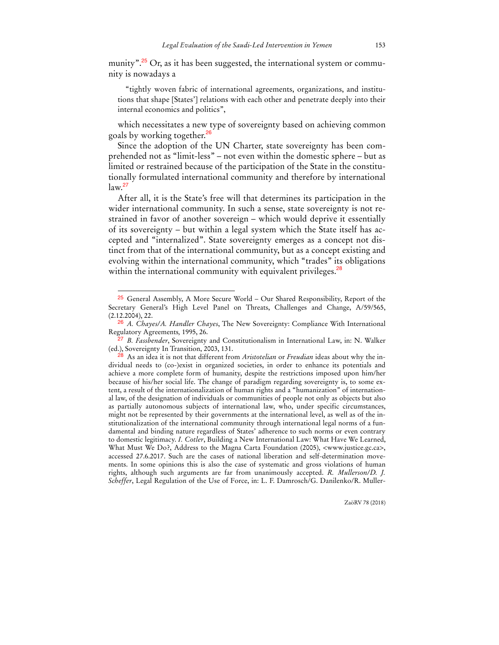munity".<sup>25</sup> Or, as it has been suggested, the international system or community is nowadays a

"tightly woven fabric of international agreements, organizations, and institutions that shape [States'] relations with each other and penetrate deeply into their internal economics and politics",

which necessitates a new type of sovereignty based on achieving common goals by working together.<sup>26</sup>

Since the adoption of the UN Charter, state sovereignty has been comprehended not as "limit-less" – not even within the domestic sphere – but as limited or restrained because of the participation of the State in the constitutionally formulated international community and therefore by international  $law.<sup>27</sup>$ 

After all, it is the State's free will that determines its participation in the wider international community. In such a sense, state sovereignty is not restrained in favor of another sovereign – which would deprive it essentially of its sovereignty – but within a legal system which the State itself has accepted and "internalized". State sovereignty emerges as a concept not distinct from that of the international community, but as a concept existing and evolving within the international community, which "trades" its obligations within the international community with equivalent privileges.<sup>28</sup>

<sup>25</sup> General Assembly, A More Secure World – Our Shared Responsibility, Report of the Secretary General's High Level Panel on Threats, Challenges and Change, A/59/565, (2.12.2004), 22.

<sup>26</sup> *A. Chayes/A. Handler Chayes*, The New Sovereignty: Compliance With International Regulatory Agreements*,* 1995, 26.

<sup>27</sup> *B. Fassbender*, Sovereignty and Constitutionalism in International Law, in: N. Walker (ed.), Sovereignty In Transition, 2003, 131.

<sup>28</sup> As an idea it is not that different from *Aristotelian* or *Freudian* ideas about why the individual needs to (co-)exist in organized societies, in order to enhance its potentials and achieve a more complete form of humanity, despite the restrictions imposed upon him/her because of his/her social life. The change of paradigm regarding sovereignty is, to some extent, a result of the internationalization of human rights and a "humanization" of international law, of the designation of individuals or communities of people not only as objects but also as partially autonomous subjects of international law, who, under specific circumstances, might not be represented by their governments at the international level, as well as of the institutionalization of the international community through international legal norms of a fundamental and binding nature regardless of States' adherence to such norms or even contrary to domestic legitimacy. *I. Cotler*, Building a New International Law: What Have We Learned, What Must We Do?, Address to the Magna Carta Foundation (2005), <www.justice.gc.ca>, accessed 27.6.2017. Such are the cases of national liberation and self-determination movements. In some opinions this is also the case of systematic and gross violations of human rights, although such arguments are far from unanimously accepted. *R. Mullerson/D. J. Scheffer*, Legal Regulation of the Use of Force, in: L. F. Damrosch/G. Danilenko/R. Muller-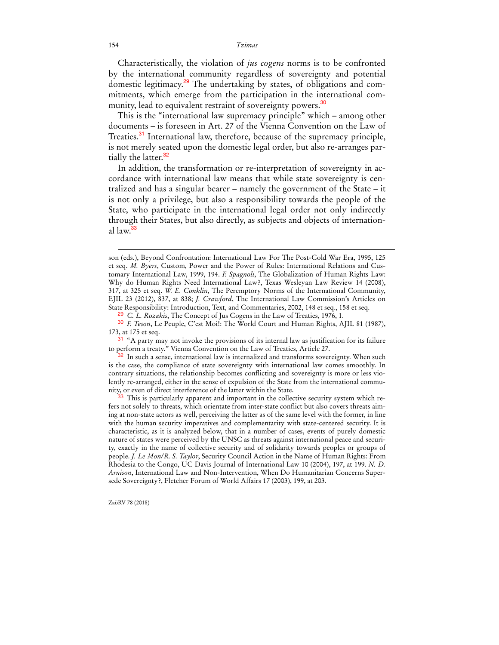Characteristically, the violation of *jus cogens* norms is to be confronted by the international community regardless of sovereignty and potential domestic legitimacy.<sup>29</sup> The undertaking by states, of obligations and commitments, which emerge from the participation in the international community, lead to equivalent restraint of sovereignty powers.<sup>30</sup>

This is the "international law supremacy principle" which – among other documents – is foreseen in Art. 27 of the Vienna Convention on the Law of Treaties.<sup>31</sup> International law, therefore, because of the supremacy principle, is not merely seated upon the domestic legal order, but also re-arranges partially the latter.<sup>32</sup>

In addition, the transformation or re-interpretation of sovereignty in accordance with international law means that while state sovereignty is centralized and has a singular bearer – namely the government of the State – it is not only a privilege, but also a responsibility towards the people of the State, who participate in the international legal order not only indirectly through their States, but also directly, as subjects and objects of international law.<sup>33</sup>

 $\overline{a}$ 

ZaöRV 78 (2018)

son (eds.), Beyond Confrontation: International Law For The Post-Cold War Era, 1995, 125 et seq. *M. Byers*, Custom, Power and the Power of Rules: International Relations and Customary International Law, 1999, 194. *F. Spagnoli*, The Globalization of Human Rights Law: Why do Human Rights Need International Law?, Texas Wesleyan Law Review 14 (2008), 317, at 325 et seq. *W. E. Conklin*, The Peremptory Norms of the International Community, EJIL 23 (2012), 837, at 838; *J. Crawford*, The International Law Commission's Articles on State Responsibility: Introduction, Text, and Commentaries, 2002, 148 et seq., 158 et seq.

<sup>29</sup> *C. L. Rozakis*, The Concept of Jus Cogens in the Law of Treaties, 1976, 1.

<sup>30</sup> *F. Teson*, Le Peuple, C'est Moi!: The World Court and Human Rights, AJIL 81 (1987), 173, at 175 et seq.

<sup>&</sup>lt;sup>31</sup> "A party may not invoke the provisions of its internal law as justification for its failure to perform a treaty." Vienna Convention on the Law of Treaties, Article 27.

 $32$  In such a sense, international law is internalized and transforms sovereignty. When such is the case, the compliance of state sovereignty with international law comes smoothly. In contrary situations, the relationship becomes conflicting and sovereignty is more or less violently re-arranged, either in the sense of expulsion of the State from the international community, or even of direct interference of the latter within the State.

<sup>33</sup> This is particularly apparent and important in the collective security system which refers not solely to threats, which orientate from inter-state conflict but also covers threats aiming at non-state actors as well, perceiving the latter as of the same level with the former, in line with the human security imperatives and complementarity with state-centered security. It is characteristic, as it is analyzed below, that in a number of cases, events of purely domestic nature of states were perceived by the UNSC as threats against international peace and security, exactly in the name of collective security and of solidarity towards peoples or groups of people. *J. Le Mon/R. S. Taylor*, Security Council Action in the Name of Human Rights: From Rhodesia to the Congo, UC Davis Journal of International Law 10 (2004), 197, at 199. *N. D. Arnison*, International Law and Non-Intervention, When Do Humanitarian Concerns Supersede Sovereignty?, Fletcher Forum of World Affairs 17 (2003), 199, at 203.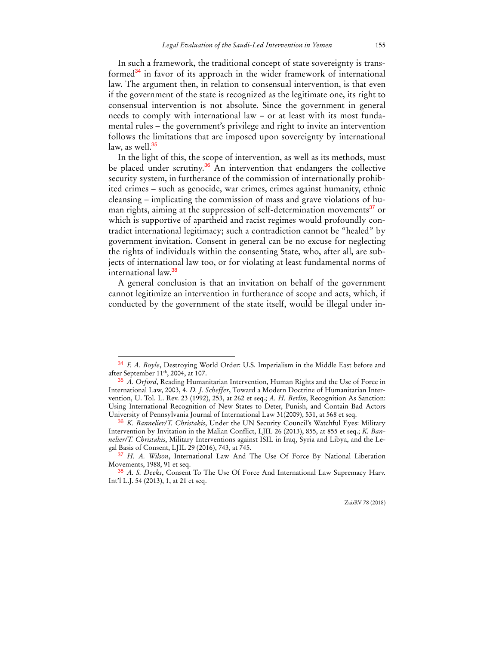In such a framework, the traditional concept of state sovereignty is transformed<sup>34</sup> in favor of its approach in the wider framework of international law. The argument then, in relation to consensual intervention, is that even if the government of the state is recognized as the legitimate one, its right to consensual intervention is not absolute. Since the government in general needs to comply with international law – or at least with its most fundamental rules – the government's privilege and right to invite an intervention follows the limitations that are imposed upon sovereignty by international law, as well. $35$ 

In the light of this, the scope of intervention, as well as its methods, must be placed under scrutiny.<sup>36</sup> An intervention that endangers the collective security system, in furtherance of the commission of internationally prohibited crimes – such as genocide, war crimes, crimes against humanity, ethnic cleansing – implicating the commission of mass and grave violations of human rights, aiming at the suppression of self-determination movements<sup>37</sup> or which is supportive of apartheid and racist regimes would profoundly contradict international legitimacy; such a contradiction cannot be "healed" by government invitation. Consent in general can be no excuse for neglecting the rights of individuals within the consenting State, who, after all, are subjects of international law too, or for violating at least fundamental norms of international law.<sup>38</sup>

A general conclusion is that an invitation on behalf of the government cannot legitimize an intervention in furtherance of scope and acts, which, if conducted by the government of the state itself, would be illegal under in-

<sup>34</sup> *F. A. Boyle*, Destroying World Order: U.S. Imperialism in the Middle East before and after September 11th, 2004, at 107.

<sup>35</sup> *A. Orford*, Reading Humanitarian Intervention, Human Rights and the Use of Force in International Law, 2003, 4. *D. J. Scheffer*, Toward a Modern Doctrine of Humanitarian Intervention, U. Tol. L. Rev. 23 (1992), 253, at 262 et seq.; *A. H. Berlin*, Recognition As Sanction: Using International Recognition of New States to Deter, Punish, and Contain Bad Actors University of Pennsylvania Journal of International Law 31(2009), 531, at 568 et seq.

<sup>36</sup> *K. Bannelier/T. Christakis*, Under the UN Security Council's Watchful Eyes: Military Intervention by Invitation in the Malian Conflict, LJIL 26 (2013), 855, at 855 et seq.; *K. Bannelier/T. Christakis*, Military Interventions against ISIL in Iraq, Syria and Libya, and the Legal Basis of Consent, LJIL 29 (2016), 743, at 745.

<sup>37</sup> *H. A. Wilson*, International Law And The Use Of Force By National Liberation Movements, 1988, 91 et seq.

<sup>38</sup> *A. S. Deeks*, Consent To The Use Of Force And International Law Supremacy Harv. Int'l L.J. 54 (2013), 1, at 21 et seq.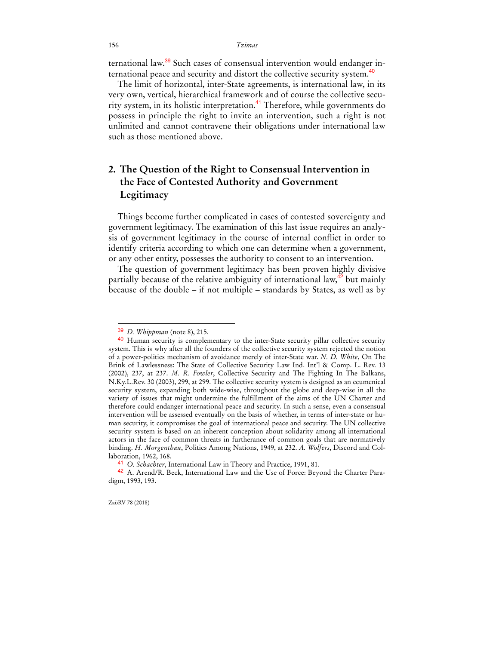ternational law.<sup>39</sup> Such cases of consensual intervention would endanger international peace and security and distort the collective security system.<sup>40</sup>

The limit of horizontal, inter-State agreements, is international law, in its very own, vertical, hierarchical framework and of course the collective security system, in its holistic interpretation.<sup>41</sup> Therefore, while governments do possess in principle the right to invite an intervention, such a right is not unlimited and cannot contravene their obligations under international law such as those mentioned above.

## **2. The Question of the Right to Consensual Intervention in the Face of Contested Authority and Government Legitimacy**

Things become further complicated in cases of contested sovereignty and government legitimacy. The examination of this last issue requires an analysis of government legitimacy in the course of internal conflict in order to identify criteria according to which one can determine when a government, or any other entity, possesses the authority to consent to an intervention.

The question of government legitimacy has been proven highly divisive partially because of the relative ambiguity of international law,<sup>42</sup> but mainly because of the double – if not multiple – standards by States, as well as by

ZaöRV 78 (2018)

<sup>39</sup> *D. Whippman* (note 8), 215.

<sup>&</sup>lt;sup>40</sup> Human security is complementary to the inter-State security pillar collective security system. This is why after all the founders of the collective security system rejected the notion of a power-politics mechanism of avoidance merely of inter-State war. *N. D. White*, On The Brink of Lawlessness: The State of Collective Security Law Ind. Int'l & Comp. L. Rev. 13 (2002), 237, at 237. *M. R. Fowler*, Collective Security and The Fighting In The Balkans, N.Ky.L.Rev. 30 (2003), 299, at 299. The collective security system is designed as an ecumenical security system, expanding both wide-wise, throughout the globe and deep-wise in all the variety of issues that might undermine the fulfillment of the aims of the UN Charter and therefore could endanger international peace and security. In such a sense, even a consensual intervention will be assessed eventually on the basis of whether, in terms of inter-state or human security, it compromises the goal of international peace and security. The UN collective security system is based on an inherent conception about solidarity among all international actors in the face of common threats in furtherance of common goals that are normatively binding. *H. Morgenthau*, Politics Among Nations, 1949, at 232. *A. Wolfers*, Discord and Collaboration, 1962, 168.

<sup>41</sup> *O. Schachter*, International Law in Theory and Practice, 1991, 81.

<sup>42</sup> A. Arend/R. Beck, International Law and the Use of Force: Beyond the Charter Paradigm, 1993, 193.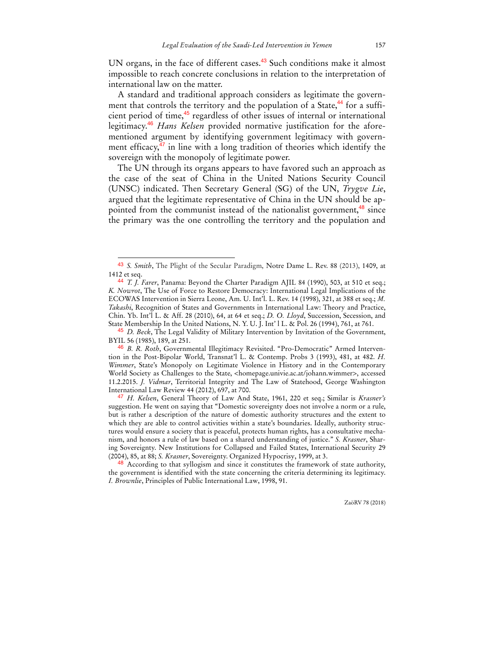UN organs, in the face of different cases.<sup>43</sup> Such conditions make it almost impossible to reach concrete conclusions in relation to the interpretation of international law on the matter.

A standard and traditional approach considers as legitimate the government that controls the territory and the population of a State,<sup>44</sup> for a sufficient period of time,<sup>45</sup> regardless of other issues of internal or international legitimacy.<sup>46</sup> *Hans Kelsen* provided normative justification for the aforementioned argument by identifying government legitimacy with government efficacy, $47$  in line with a long tradition of theories which identify the sovereign with the monopoly of legitimate power.

The UN through its organs appears to have favored such an approach as the case of the seat of China in the United Nations Security Council (UNSC) indicated. Then Secretary General (SG) of the UN, *Trygve Lie*, argued that the legitimate representative of China in the UN should be appointed from the communist instead of the nationalist government,<sup>48</sup> since the primary was the one controlling the territory and the population and

 $\overline{a}$ 

45 *D. Beck*, The Legal Validity of Military Intervention by Invitation of the Government, BYIL 56 (1985), 189, at 251.

47 *H. Kelsen*, General Theory of Law And State, 1961, 220 et seq.; Similar is *Krasner's* suggestion. He went on saying that "Domestic sovereignty does not involve a norm or a rule, but is rather a description of the nature of domestic authority structures and the extent to which they are able to control activities within a state's boundaries. Ideally, authority structures would ensure a society that is peaceful, protects human rights, has a consultative mechanism, and honors a rule of law based on a shared understanding of justice." *S. Krasner*, Sharing Sovereignty. New Institutions for Collapsed and Failed States, International Security 29 (2004), 85, at 88; *S. Krasner*, Sovereignty. Organized Hypocrisy, 1999, at 3.

<sup>48</sup> According to that syllogism and since it constitutes the framework of state authority, the government is identified with the state concerning the criteria determining its legitimacy. *I. Brownlie*, Principles of Public International Law, 1998, 91.

<sup>43</sup> *S. Smith*, The Plight of the Secular Paradigm, Notre Dame L. Rev. 88 (2013), 1409, at 1412 et seq.

<sup>44</sup> *T. J. Farer*, Panama: Beyond the Charter Paradigm AJIL 84 (1990), 503, at 510 et seq.; *K. Nowrot*, The Use of Force to Restore Democracy: International Legal Implications of the ECOWAS Intervention in Sierra Leone, Am. U. Int'l. L. Rev. 14 (1998), 321, at 388 et seq.; *M. Takashi*, Recognition of States and Governments in International Law: Theory and Practice, Chin. Yb. Int'l L. & Aff. 28 (2010), 64, at 64 et seq.; *D. O. Lloyd*, Succession, Secession, and State Membership In the United Nations, N. Y. U. J. Int' l L. & Pol. 26 (1994), 761, at 761.

<sup>46</sup> *B. R. Roth*, Governmental Illegitimacy Revisited. "Pro-Democratic" Armed Intervention in the Post-Bipolar World, Transnat'l L. & Contemp. Probs 3 (1993), 481, at 482. *H. Wimmer*, State's Monopoly on Legitimate Violence in History and in the Contemporary World Society as Challenges to the State, <homepage.univie.ac.at/johann.wimmer>, accessed 11.2.2015. *J. Vidmar*, Territorial Integrity and The Law of Statehood, George Washington International Law Review 44 (2012), 697, at 700.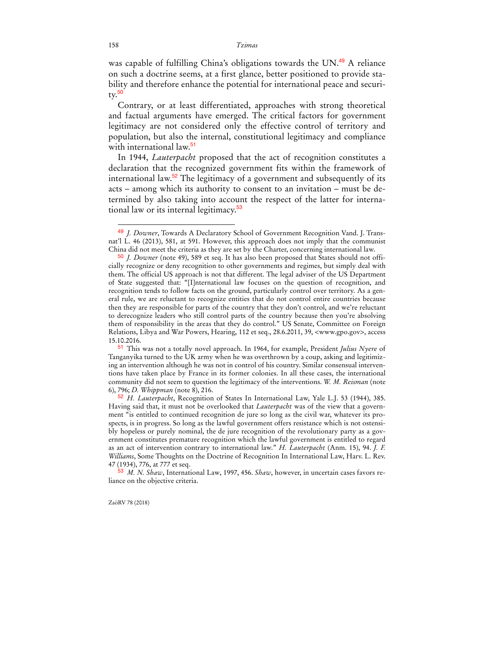was capable of fulfilling China's obligations towards the UN.<sup>49</sup> A reliance on such a doctrine seems, at a first glance, better positioned to provide stability and therefore enhance the potential for international peace and securi $ty.<sup>50</sup>$ 

Contrary, or at least differentiated, approaches with strong theoretical and factual arguments have emerged. The critical factors for government legitimacy are not considered only the effective control of territory and population, but also the internal, constitutional legitimacy and compliance with international law.<sup>51</sup>

In 1944, *Lauterpacht* proposed that the act of recognition constitutes a declaration that the recognized government fits within the framework of international law. $52$  The legitimacy of a government and subsequently of its acts – among which its authority to consent to an invitation – must be determined by also taking into account the respect of the latter for international law or its internal legitimacy.<sup>53</sup>

 $\ddot{ }$ 

<sup>49</sup> *J. Downer*, Towards A Declaratory School of Government Recognition Vand. J. Transnat'l L. 46 (2013), 581, at 591. However, this approach does not imply that the communist China did not meet the criteria as they are set by the Charter, concerning international law.

<sup>50</sup> *J. Downer* (note 49), 589 et seq. It has also been proposed that States should not officially recognize or deny recognition to other governments and regimes, but simply deal with them. The official US approach is not that different. The legal adviser of the US Department of State suggested that: "[I]nternational law focuses on the question of recognition, and recognition tends to follow facts on the ground, particularly control over territory. As a general rule, we are reluctant to recognize entities that do not control entire countries because then they are responsible for parts of the country that they don't control, and we're reluctant to derecognize leaders who still control parts of the country because then you're absolving them of responsibility in the areas that they do control." US Senate, Committee on Foreign Relations, Libya and War Powers, Hearing, 112 et seq., 28.6.2011, 39, <www.gpo.gov>, access 15.10.2016.

<sup>51</sup> This was not a totally novel approach. In 1964, for example, President *Julius Nyere* of Tanganyika turned to the UK army when he was overthrown by a coup, asking and legitimizing an intervention although he was not in control of his country. Similar consensual interventions have taken place by France in its former colonies. In all these cases, the international community did not seem to question the legitimacy of the interventions. *W. M. Reisman* (note 6), 796; *D. Whippman* (note 8), 216.

<sup>52</sup> *H. Lauterpacht*, Recognition of States In International Law, Yale L.J. 53 (1944), 385. Having said that, it must not be overlooked that *Lauterpacht* was of the view that a government "is entitled to continued recognition de jure so long as the civil war, whatever its prospects, is in progress. So long as the lawful government offers resistance which is not ostensibly hopeless or purely nominal, the de jure recognition of the revolutionary party as a government constitutes premature recognition which the lawful government is entitled to regard as an act of intervention contrary to international law." *H. Lauterpacht* (Anm. 15), 94. *J. F. Williams*, Some Thoughts on the Doctrine of Recognition In International Law, Harv. L. Rev. 47 (1934), 776, at 777 et seq.

<sup>53</sup> *M. N. Shaw*, International Law, 1997, 456. *Shaw*, however, in uncertain cases favors reliance on the objective criteria.

ZaöRV 78 (2018)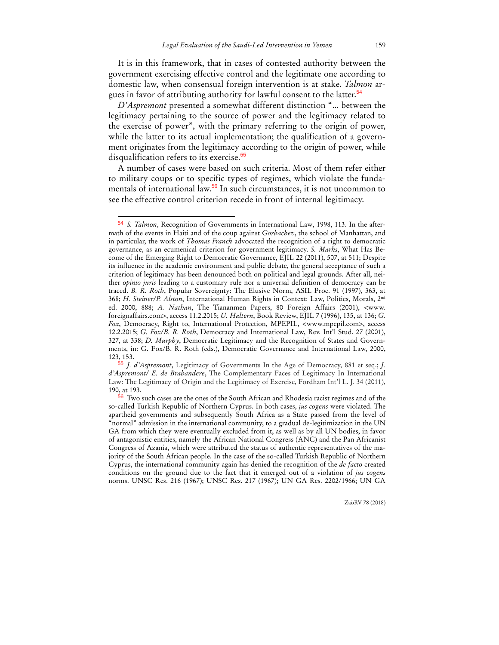It is in this framework, that in cases of contested authority between the government exercising effective control and the legitimate one according to domestic law, when consensual foreign intervention is at stake. *Talmon* argues in favor of attributing authority for lawful consent to the latter.<sup>54</sup>

*D'Aspremont* presented a somewhat different distinction "... between the legitimacy pertaining to the source of power and the legitimacy related to the exercise of power", with the primary referring to the origin of power, while the latter to its actual implementation; the qualification of a government originates from the legitimacy according to the origin of power, while disqualification refers to its exercise.<sup>55</sup>

A number of cases were based on such criteria. Most of them refer either to military coups or to specific types of regimes, which violate the fundamentals of international law.<sup>56</sup> In such circumstances, it is not uncommon to see the effective control criterion recede in front of internal legitimacy.

 $\overline{a}$ 

ZaöRV 78 (2018)

<sup>54</sup> *S. Talmon*, Recognition of Governments in International Law, 1998, 113. In the aftermath of the events in Haiti and of the coup against *Gorbachev*, the school of Manhattan, and in particular, the work of *Thomas Franck* advocated the recognition of a right to democratic governance, as an ecumenical criterion for government legitimacy. *S. Marks*, What Has Become of the Emerging Right to Democratic Governance, EJIL 22 (2011), 507, at 511; Despite its influence in the academic environment and public debate, the general acceptance of such a criterion of legitimacy has been denounced both on political and legal grounds. After all, neither *opinio juris* leading to a customary rule nor a universal definition of democracy can be traced. *B. R. Roth*, Popular Sovereignty: The Elusive Norm, ASIL Proc. 91 (1997), 363, at 368; *H. Steiner/P. Alston*, International Human Rights in Context: Law, Politics, Morals, 2nd ed. 2000, 888; *A. Nathan*, The Tiananmen Papers, 80 Foreign Affairs (2001), <www. foreignaffairs.com>, access 11.2.2015; *U. Haltern*, Book Review, EJIL 7 (1996), 135, at 136; *G. Fox*, Democracy, Right to, International Protection, MPEPIL, <www.mpepil.com>, access 12.2.2015; *G. Fox/B. R. Roth*, Democracy and International Law, Rev. Int'l Stud. 27 (2001), 327, at 338; *D. Murphy*, Democratic Legitimacy and the Recognition of States and Governments, in: G. Fox/B. R. Roth (eds.), Democratic Governance and International Law, 2000, 123, 153.

<sup>55</sup> *J. d'Aspremont*, Legitimacy of Governments In the Age of Democracy, 881 et seq.; *J. d'Aspremont/ E. de Brabandere*, The Complementary Faces of Legitimacy In International Law: The Legitimacy of Origin and the Legitimacy of Exercise, Fordham Int'l L. J. 34 (2011), 190, at 193.

<sup>56</sup> Two such cases are the ones of the South African and Rhodesia racist regimes and of the so-called Turkish Republic of Northern Cyprus. In both cases, *jus cogens* were violated. The apartheid governments and subsequently South Africa as a State passed from the level of "normal" admission in the international community, to a gradual de-legitimization in the UN GA from which they were eventually excluded from it, as well as by all UN bodies, in favor of antagonistic entities, namely the African National Congress (ANC) and the Pan Africanist Congress of Azania, which were attributed the status of authentic representatives of the majority of the South African people. In the case of the so-called Turkish Republic of Northern Cyprus, the international community again has denied the recognition of the *de facto* created conditions on the ground due to the fact that it emerged out of a violation of *jus cogens* norms. UNSC Res. 216 (1967); UNSC Res. 217 (1967); UN GA Res. 2202/1966; UN GA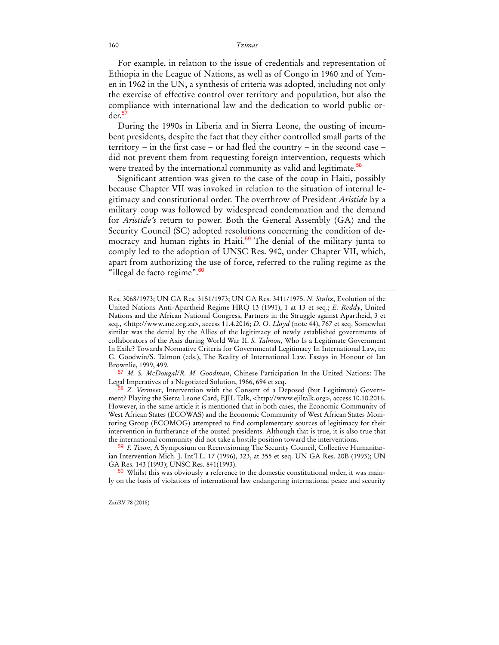For example, in relation to the issue of credentials and representation of Ethiopia in the League of Nations, as well as of Congo in 1960 and of Yemen in 1962 in the UN, a synthesis of criteria was adopted, including not only the exercise of effective control over territory and population, but also the compliance with international law and the dedication to world public order.<sup>5</sup>

During the 1990s in Liberia and in Sierra Leone, the ousting of incumbent presidents, despite the fact that they either controlled small parts of the territory – in the first case – or had fled the country – in the second case – did not prevent them from requesting foreign intervention, requests which were treated by the international community as valid and legitimate.<sup>58</sup>

Significant attention was given to the case of the coup in Haiti, possibly because Chapter VII was invoked in relation to the situation of internal legitimacy and constitutional order. The overthrow of President *Aristide* by a military coup was followed by widespread condemnation and the demand for *Aristide's* return to power. Both the General Assembly (GA) and the Security Council (SC) adopted resolutions concerning the condition of democracy and human rights in Haiti.<sup>59</sup> The denial of the military junta to comply led to the adoption of UNSC Res. 940, under Chapter VII, which, apart from authorizing the use of force, referred to the ruling regime as the "illegal de facto regime".<sup>60</sup>

 $60$  Whilst this was obviously a reference to the domestic constitutional order, it was mainly on the basis of violations of international law endangering international peace and security

ZaöRV 78 (2018)

Res. 3068/1973; UN GA Res. 3151/1973; UN GA Res. 3411/1975. *N. Stultz*, Evolution of the United Nations Anti-Apartheid Regime HRQ 13 (1991), 1 at 13 et seq.; *E. Reddy*, United Nations and the African National Congress, Partners in the Struggle against Apartheid, 3 et seq., <http://www.anc.org.za>, access 11.4.2016; *D. O. Lloyd* (note 44), 767 et seq. Somewhat similar was the denial by the Allies of the legitimacy of newly established governments of collaborators of the Axis during World War II. *S. Talmon*, Who Is a Legitimate Government In Exile? Towards Normative Criteria for Governmental Legitimacy In International Law, in: G. Goodwin/S. Talmon (eds.), The Reality of International Law. Essays in Honour of Ian Brownlie, 1999, 499.

<sup>57</sup> *M. S. McDougal/R. M. Goodman*, Chinese Participation In the United Nations: The Legal Imperatives of a Negotiated Solution, 1966, 694 et seq.

<sup>58</sup> *Z. Vermeer*, Intervention with the Consent of a Deposed (but Legitimate) Government? Playing the Sierra Leone Card, EJIL Talk, <http://www.ejiltalk.org>, access 10.10.2016. However, in the same article it is mentioned that in both cases, the Economic Community of West African States (ECOWAS) and the Economic Community of West African States Monitoring Group (ECOMOG) attempted to find complementary sources of legitimacy for their intervention in furtherance of the ousted presidents. Although that is true, it is also true that the international community did not take a hostile position toward the interventions.

<sup>59</sup> *F. Teson*, A Symposium on Reenvisioning The Security Council, Collective Humanitarian Intervention Mich. J. Int'l L. 17 (1996), 323, at 355 et seq. UN GA Res. 20B (1993); UN GA Res. 143 (1993); UNSC Res. 841(1993).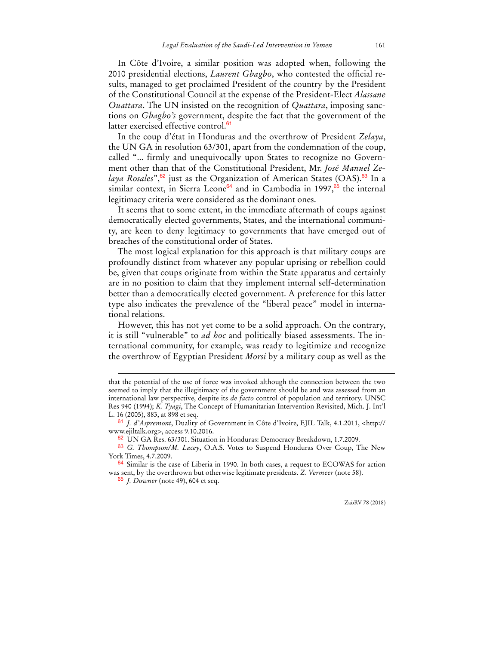In Côte d'Ivoire, a similar position was adopted when, following the 2010 presidential elections, *Laurent Gbagbo*, who contested the official results, managed to get proclaimed President of the country by the President of the Constitutional Council at the expense of the President-Elect *Alassane Ouattara*. The UN insisted on the recognition of *Quattara*, imposing sanctions on *Gbagbo's* government, despite the fact that the government of the latter exercised effective control.<sup>61</sup>

In the coup d'état in Honduras and the overthrow of President *Zelaya*, the UN GA in resolution 63/301, apart from the condemnation of the coup, called "... firmly and unequivocally upon States to recognize no Government other than that of the Constitutional President, Mr. *José Manuel Zelaya Rosales*",<sup>62</sup> just as the Organization of American States (OAS).<sup>63</sup> In a similar context, in Sierra Leone<sup>64</sup> and in Cambodia in 1997, $65$  the internal legitimacy criteria were considered as the dominant ones.

It seems that to some extent, in the immediate aftermath of coups against democratically elected governments, States, and the international community, are keen to deny legitimacy to governments that have emerged out of breaches of the constitutional order of States.

The most logical explanation for this approach is that military coups are profoundly distinct from whatever any popular uprising or rebellion could be, given that coups originate from within the State apparatus and certainly are in no position to claim that they implement internal self-determination better than a democratically elected government. A preference for this latter type also indicates the prevalence of the "liberal peace" model in international relations.

However, this has not yet come to be a solid approach. On the contrary, it is still "vulnerable" to *ad hoc* and politically biased assessments. The international community, for example, was ready to legitimize and recognize the overthrow of Egyptian President *Morsi* by a military coup as well as the

62 UN GA Res. 63/301. Situation in Honduras: Democracy Breakdown, 1.7.2009.

65 *J. Downer* (note 49), 604 et seq.

 $\overline{a}$ 

ZaöRV 78 (2018)

that the potential of the use of force was invoked although the connection between the two seemed to imply that the illegitimacy of the government should be and was assessed from an international law perspective, despite its *de facto* control of population and territory. UNSC Res 940 (1994); *K. Tyagi*, The Concept of Humanitarian Intervention Revisited, Mich. J. Int'l L. 16 (2005), 883, at 898 et seq.

<sup>61</sup> *J. d'Aspremont*, Duality of Government in Côte d'Ivoire, EJIL Talk, 4.1.2011, <http:// www.ejiltalk.org>, access 9.10.2016.

<sup>63</sup> *G. Thompson/M. Lacey*, O.A.S. Votes to Suspend Honduras Over Coup, The New York Times, 4.7.2009.

<sup>&</sup>lt;sup>64</sup> Similar is the case of Liberia in 1990. In both cases, a request to ECOWAS for action was sent, by the overthrown but otherwise legitimate presidents. *Z. Vermeer* (note 58).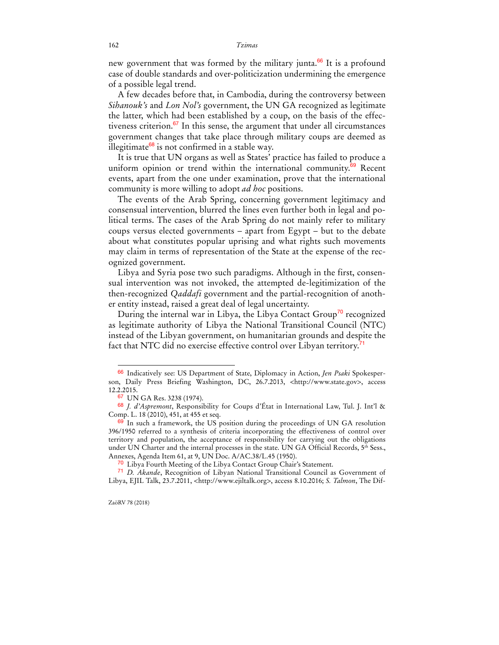new government that was formed by the military junta.<sup>66</sup> It is a profound case of double standards and over-politicization undermining the emergence of a possible legal trend.

A few decades before that, in Cambodia, during the controversy between *Sihanouk's* and *Lon Nol's* government, the UN GA recognized as legitimate the latter, which had been established by a coup, on the basis of the effectiveness criterion. $67$  In this sense, the argument that under all circumstances government changes that take place through military coups are deemed as illegitimate $68$  is not confirmed in a stable way.

It is true that UN organs as well as States' practice has failed to produce a uniform opinion or trend within the international community.<sup>69</sup> Recent events, apart from the one under examination, prove that the international community is more willing to adopt *ad hoc* positions.

The events of the Arab Spring, concerning government legitimacy and consensual intervention, blurred the lines even further both in legal and political terms. The cases of the Arab Spring do not mainly refer to military coups versus elected governments – apart from Egypt – but to the debate about what constitutes popular uprising and what rights such movements may claim in terms of representation of the State at the expense of the recognized government.

Libya and Syria pose two such paradigms. Although in the first, consensual intervention was not invoked, the attempted de-legitimization of the then-recognized *Qaddafi* government and the partial-recognition of another entity instead, raised a great deal of legal uncertainty.

During the internal war in Libya, the Libya Contact Group<sup>70</sup> recognized as legitimate authority of Libya the National Transitional Council (NTC) instead of the Libyan government, on humanitarian grounds and despite the fact that NTC did no exercise effective control over Libyan territory.<sup>71</sup>

<sup>66</sup> Indicatively see: US Department of State, Diplomacy in Action, *Jen Psaki* Spokesperson, Daily Press Briefing Washington, DC, 26.7.2013, <http://www.state.gov>, access 12.2.2015.

<sup>67</sup> UN GA Res. 3238 (1974).

<sup>68</sup> *J. d'Aspremont*, Responsibility for Coups d'État in International Law, Tul. J. Int'l & Comp. L. 18 (2010), 451, at 455 et seq.

 $69$  In such a framework, the US position during the proceedings of UN GA resolution 396/1950 referred to a synthesis of criteria incorporating the effectiveness of control over territory and population, the acceptance of responsibility for carrying out the obligations under UN Charter and the internal processes in the state. UN GA Official Records, 5<sup>th</sup> Sess., Annexes, Agenda Item 61, at 9, UN Doc. A/AC.38/L.45 (1950).

<sup>&</sup>lt;sup>70</sup> Libya Fourth Meeting of the Libya Contact Group Chair's Statement.

<sup>71</sup> *D. Akande*, Recognition of Libyan National Transitional Council as Government of Libya, EJIL Talk, 23.7.2011, <http://www.ejiltalk.org>, access 8.10.2016; *S. Talmon*, The Dif-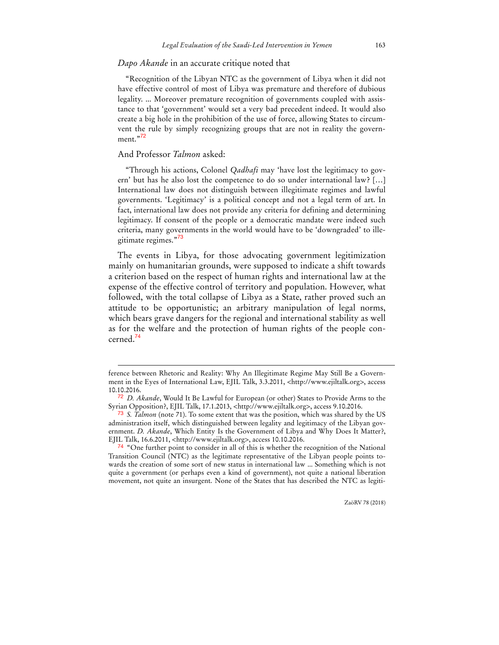### *Dapo Akande* in an accurate critique noted that

"Recognition of the Libyan NTC as the government of Libya when it did not have effective control of most of Libya was premature and therefore of dubious legality. ... Moreover premature recognition of governments coupled with assistance to that 'government' would set a very bad precedent indeed. It would also create a big hole in the prohibition of the use of force, allowing States to circumvent the rule by simply recognizing groups that are not in reality the government."<sup>72</sup>

### And Professor *Talmon* asked:

 $\overline{a}$ 

"Through his actions, Colonel *Qadhafi* may 'have lost the legitimacy to govern' but has he also lost the competence to do so under international law? […] International law does not distinguish between illegitimate regimes and lawful governments. 'Legitimacy' is a political concept and not a legal term of art. In fact, international law does not provide any criteria for defining and determining legitimacy. If consent of the people or a democratic mandate were indeed such criteria, many governments in the world would have to be 'downgraded' to illegitimate regimes."<sup>73</sup>

The events in Libya, for those advocating government legitimization mainly on humanitarian grounds, were supposed to indicate a shift towards a criterion based on the respect of human rights and international law at the expense of the effective control of territory and population. However, what followed, with the total collapse of Libya as a State, rather proved such an attitude to be opportunistic; an arbitrary manipulation of legal norms, which bears grave dangers for the regional and international stability as well as for the welfare and the protection of human rights of the people concerned.<sup>74</sup>

ference between Rhetoric and Reality: Why An Illegitimate Regime May Still Be a Government in the Eyes of International Law, EJIL Talk, 3.3.2011, <http://www.ejiltalk.org>, access 10.10.2016.

<sup>72</sup> *D. Akande*, Would It Be Lawful for European (or other) States to Provide Arms to the Syrian Opposition?, EJIL Talk, 17.1.2013, <http://www.ejiltalk.org>, access 9.10.2016.

<sup>73</sup> *S. Talmon* (note 71). To some extent that was the position, which was shared by the US administration itself, which distinguished between legality and legitimacy of the Libyan government. *D. Akande*, Which Entity Is the Government of Libya and Why Does It Matter?, EJIL Talk, 16.6.2011, <http://www.ejiltalk.org>, access 10.10.2016.

<sup>&</sup>lt;sup>74</sup> "One further point to consider in all of this is whether the recognition of the National Transition Council (NTC) as the legitimate representative of the Libyan people points towards the creation of some sort of new status in international law ... Something which is not quite a government (or perhaps even a kind of government), not quite a national liberation movement, not quite an insurgent. None of the States that has described the NTC as legiti-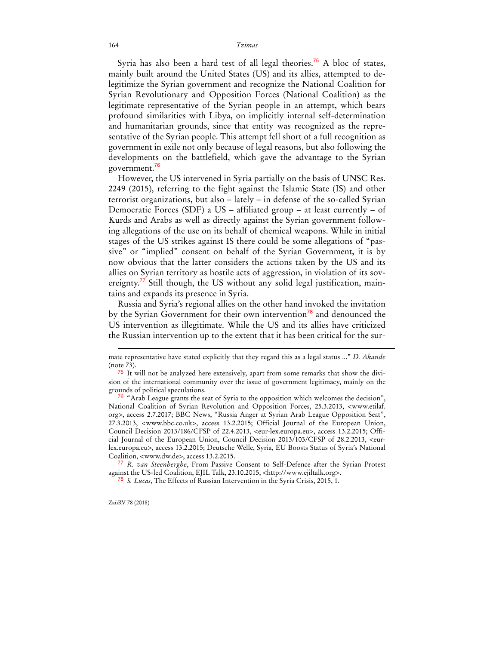Syria has also been a hard test of all legal theories.<sup>75</sup> A bloc of states, mainly built around the United States (US) and its allies, attempted to delegitimize the Syrian government and recognize the National Coalition for Syrian Revolutionary and Opposition Forces (National Coalition) as the legitimate representative of the Syrian people in an attempt, which bears profound similarities with Libya, on implicitly internal self-determination and humanitarian grounds, since that entity was recognized as the representative of the Syrian people. This attempt fell short of a full recognition as government in exile not only because of legal reasons, but also following the developments on the battlefield, which gave the advantage to the Syrian government.<sup>76</sup>

However, the US intervened in Syria partially on the basis of UNSC Res. 2249 (2015), referring to the fight against the Islamic State (IS) and other terrorist organizations, but also – lately – in defense of the so-called Syrian Democratic Forces (SDF) a US – affiliated group – at least currently – of Kurds and Arabs as well as directly against the Syrian government following allegations of the use on its behalf of chemical weapons. While in initial stages of the US strikes against IS there could be some allegations of "passive" or "implied" consent on behalf of the Syrian Government, it is by now obvious that the latter considers the actions taken by the US and its allies on Syrian territory as hostile acts of aggression, in violation of its sovereignty.<sup>77</sup> Still though, the US without any solid legal justification, maintains and expands its presence in Syria.

Russia and Syria's regional allies on the other hand invoked the invitation by the Syrian Government for their own intervention<sup>78</sup> and denounced the US intervention as illegitimate. While the US and its allies have criticized the Russian intervention up to the extent that it has been critical for the sur-

mate representative have stated explicitly that they regard this as a legal status ..." *D. Akande* (note 73).

<sup>&</sup>lt;sup>75</sup> It will not be analyzed here extensively, apart from some remarks that show the division of the international community over the issue of government legitimacy, mainly on the grounds of political speculations.

<sup>&</sup>lt;sup>76</sup> "Arab League grants the seat of Syria to the opposition which welcomes the decision", National Coalition of Syrian Revolution and Opposition Forces, 25.3.2013, <www.etilaf. org>, access 2.7.2017; BBC News, "Russia Anger at Syrian Arab League Opposition Seat", 27.3.2013, <www.bbc.co.uk>, access 13.2.2015; Official Journal of the European Union, Council Decision 2013/186/CFSP of 22.4.2013, <eur-lex.europa.eu>, access 13.2.2015; Official Journal of the European Union, Council Decision 2013/103/CFSP of 28.2.2013, <eurlex.europa.eu>, access 13.2.2015; Deutsche Welle, Syria, EU Boosts Status of Syria's National Coalition, <www.dw.de>, access 13.2.2015.

<sup>77</sup> *R. van Steenberghe*, From Passive Consent to Self-Defence after the Syrian Protest against the US-led Coalition, EJIL Talk, 23.10.2015, <http://www.ejiltalk.org>.

<sup>78</sup> *S. Lucas*, The Effects of Russian Intervention in the Syria Crisis, 2015, 1.

ZaöRV 78 (2018)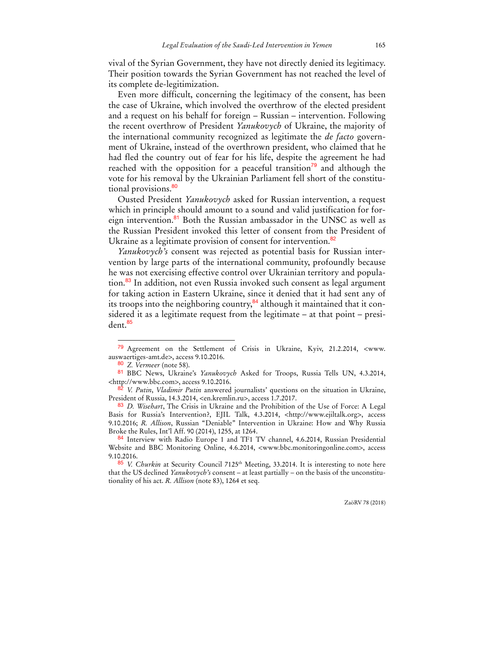vival of the Syrian Government, they have not directly denied its legitimacy. Their position towards the Syrian Government has not reached the level of its complete de-legitimization.

Even more difficult, concerning the legitimacy of the consent, has been the case of Ukraine, which involved the overthrow of the elected president and a request on his behalf for foreign – Russian – intervention. Following the recent overthrow of President *Yanukovych* of Ukraine, the majority of the international community recognized as legitimate the *de facto* government of Ukraine, instead of the overthrown president, who claimed that he had fled the country out of fear for his life, despite the agreement he had reached with the opposition for a peaceful transition<sup>79</sup> and although the vote for his removal by the Ukrainian Parliament fell short of the constitutional provisions.<sup>80</sup>

Ousted President *Yanukovych* asked for Russian intervention, a request which in principle should amount to a sound and valid justification for foreign intervention.<sup>81</sup> Both the Russian ambassador in the UNSC as well as the Russian President invoked this letter of consent from the President of Ukraine as a legitimate provision of consent for intervention.<sup>82</sup>

*Yanukovych's* consent was rejected as potential basis for Russian intervention by large parts of the international community, profoundly because he was not exercising effective control over Ukrainian territory and population.<sup>83</sup> In addition, not even Russia invoked such consent as legal argument for taking action in Eastern Ukraine, since it denied that it had sent any of its troops into the neighboring country, $84$  although it maintained that it considered it as a legitimate request from the legitimate – at that point – president.<sup>85</sup>

 $\ddot{ }$ 

<sup>79</sup> Agreement on the Settlement of Crisis in Ukraine, Kyiv, 21.2.2014, <www. auswaertiges-amt.de>, access 9.10.2016.

<sup>80</sup> *Z. Vermeer* (note 58).

<sup>81</sup> BBC News, Ukraine's *Yanukovych* Asked for Troops, Russia Tells UN, 4.3.2014, <http://www.bbc.com>, access 9.10.2016.

<sup>82</sup> *V. Putin*, *Vladimir Putin* answered journalists' questions on the situation in Ukraine, President of Russia, 14.3.2014, <en.kremlin.ru>, access 1.7.2017.

<sup>83</sup> *D. Wisehart*, The Crisis in Ukraine and the Prohibition of the Use of Force: A Legal Basis for Russia's Intervention?, EJIL Talk, 4.3.2014, <http://www.ejiltalk.org>, access 9.10.2016; *R. Allison*, Russian "Deniable" Intervention in Ukraine: How and Why Russia Broke the Rules, Int'l Aff. 90 (2014), 1255, at 1264.

<sup>84</sup> Interview with Radio Europe 1 and TF1 TV channel, 4.6.2014, Russian Presidential Website and BBC Monitoring Online, 4.6.2014, <www.bbc.monitoringonline.com>, access 9.10.2016.

<sup>85</sup> *V. Churkin* at Security Council 7125th Meeting, 33.2014. It is interesting to note here that the US declined *Yanukovych's* consent – at least partially – on the basis of the unconstitutionality of his act. *R. Allison* (note 83), 1264 et seq.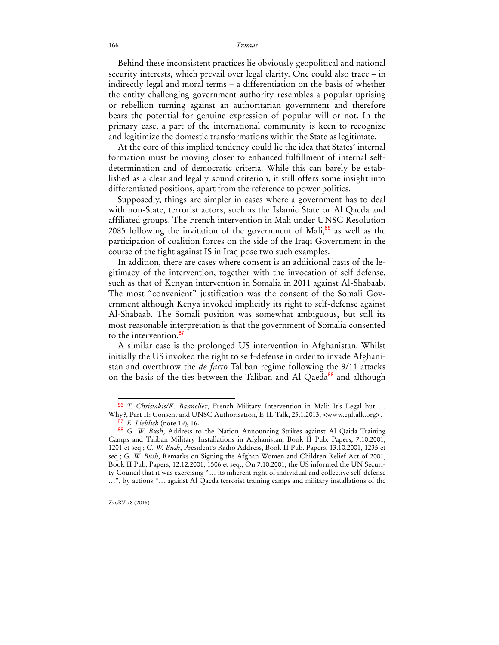Behind these inconsistent practices lie obviously geopolitical and national security interests, which prevail over legal clarity. One could also trace – in indirectly legal and moral terms – a differentiation on the basis of whether the entity challenging government authority resembles a popular uprising or rebellion turning against an authoritarian government and therefore bears the potential for genuine expression of popular will or not. In the primary case, a part of the international community is keen to recognize and legitimize the domestic transformations within the State as legitimate.

At the core of this implied tendency could lie the idea that States' internal formation must be moving closer to enhanced fulfillment of internal selfdetermination and of democratic criteria. While this can barely be established as a clear and legally sound criterion, it still offers some insight into differentiated positions, apart from the reference to power politics.

Supposedly, things are simpler in cases where a government has to deal with non-State, terrorist actors, such as the Islamic State or Al Qaeda and affiliated groups. The French intervention in Mali under UNSC Resolution 2085 following the invitation of the government of Mali, $86$  as well as the participation of coalition forces on the side of the Iraqi Government in the course of the fight against IS in Iraq pose two such examples.

In addition, there are cases where consent is an additional basis of the legitimacy of the intervention, together with the invocation of self-defense, such as that of Kenyan intervention in Somalia in 2011 against Al-Shabaab. The most "convenient" justification was the consent of the Somali Government although Kenya invoked implicitly its right to self-defense against Al-Shabaab. The Somali position was somewhat ambiguous, but still its most reasonable interpretation is that the government of Somalia consented to the intervention.<sup>87</sup>

A similar case is the prolonged US intervention in Afghanistan. Whilst initially the US invoked the right to self-defense in order to invade Afghanistan and overthrow the *de facto* Taliban regime following the 9/11 attacks on the basis of the ties between the Taliban and Al Qaeda<sup>88</sup> and although

<sup>86</sup> *T. Christakis/K. Bannelier*, French Military Intervention in Mali: It's Legal but … Why?, Part II: Consent and UNSC Authorisation, EJIL Talk, 25.1.2013, <www.ejiltalk.org>. 87 *E. Lieblich* (note 19), 16.

<sup>88</sup> *G. W. Bush*, Address to the Nation Announcing Strikes against Al Qaida Training Camps and Taliban Military Installations in Afghanistan, Book II Pub. Papers, 7.10.2001, 1201 et seq.; *G. W. Bush*, President's Radio Address, Book II Pub. Papers, 13.10.2001, 1235 et seq.; *G. W. Bush*, Remarks on Signing the Afghan Women and Children Relief Act of 2001, Book II Pub. Papers, 12.12.2001, 1506 et seq.; On 7.10.2001, the US informed the UN Security Council that it was exercising "… its inherent right of individual and collective self-defense …", by actions "… against Al Qaeda terrorist training camps and military installations of the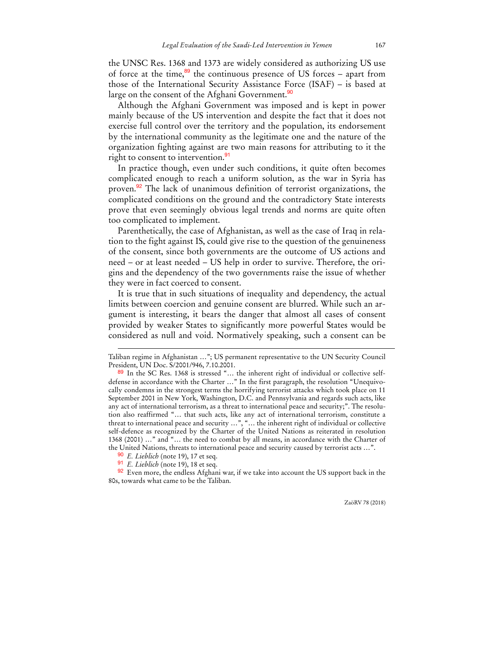the UNSC Res. 1368 and 1373 are widely considered as authorizing US use of force at the time,<sup>89</sup> the continuous presence of US forces – apart from those of the International Security Assistance Force (ISAF) – is based at large on the consent of the Afghani Government.<sup>90</sup>

Although the Afghani Government was imposed and is kept in power mainly because of the US intervention and despite the fact that it does not exercise full control over the territory and the population, its endorsement by the international community as the legitimate one and the nature of the organization fighting against are two main reasons for attributing to it the right to consent to intervention.<sup>91</sup>

In practice though, even under such conditions, it quite often becomes complicated enough to reach a uniform solution, as the war in Syria has proven.<sup>92</sup> The lack of unanimous definition of terrorist organizations, the complicated conditions on the ground and the contradictory State interests prove that even seemingly obvious legal trends and norms are quite often too complicated to implement.

Parenthetically, the case of Afghanistan, as well as the case of Iraq in relation to the fight against IS, could give rise to the question of the genuineness of the consent, since both governments are the outcome of US actions and need – or at least needed – US help in order to survive. Therefore, the origins and the dependency of the two governments raise the issue of whether they were in fact coerced to consent.

It is true that in such situations of inequality and dependency, the actual limits between coercion and genuine consent are blurred. While such an argument is interesting, it bears the danger that almost all cases of consent provided by weaker States to significantly more powerful States would be considered as null and void. Normatively speaking, such a consent can be

 $\overline{a}$ 

 $92$  Even more, the endless Afghani war, if we take into account the US support back in the 80s, towards what came to be the Taliban.

Taliban regime in Afghanistan …"; US permanent representative to the UN Security Council President, UN Doc. S/2001/946, 7.10.2001.

<sup>89</sup> In the SC Res. 1368 is stressed "... the inherent right of individual or collective selfdefense in accordance with the Charter …" In the first paragraph, the resolution "Unequivocally condemns in the strongest terms the horrifying terrorist attacks which took place on 11 September 2001 in New York, Washington, D.C. and Pennsylvania and regards such acts, like any act of international terrorism, as a threat to international peace and security;". The resolution also reaffirmed "… that such acts, like any act of international terrorism, constitute a threat to international peace and security …", "… the inherent right of individual or collective self-defence as recognized by the Charter of the United Nations as reiterated in resolution 1368 (2001) …" and "… the need to combat by all means, in accordance with the Charter of the United Nations, threats to international peace and security caused by terrorist acts …".

<sup>90</sup> *E. Lieblich* (note 19), 17 et seq.

<sup>91</sup> *E. Lieblich* (note 19), 18 et seq.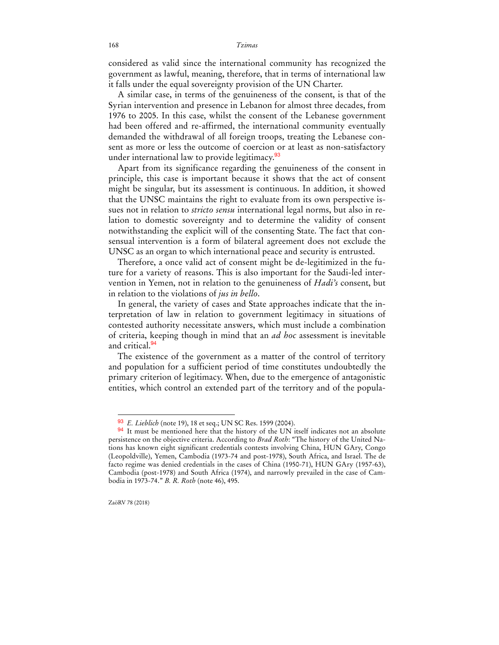considered as valid since the international community has recognized the government as lawful, meaning, therefore, that in terms of international law it falls under the equal sovereignty provision of the UN Charter.

A similar case, in terms of the genuineness of the consent, is that of the Syrian intervention and presence in Lebanon for almost three decades, from 1976 to 2005. In this case, whilst the consent of the Lebanese government had been offered and re-affirmed, the international community eventually demanded the withdrawal of all foreign troops, treating the Lebanese consent as more or less the outcome of coercion or at least as non-satisfactory under international law to provide legitimacy.<sup>93</sup>

Apart from its significance regarding the genuineness of the consent in principle, this case is important because it shows that the act of consent might be singular, but its assessment is continuous. In addition, it showed that the UNSC maintains the right to evaluate from its own perspective issues not in relation to *stricto sensu* international legal norms, but also in relation to domestic sovereignty and to determine the validity of consent notwithstanding the explicit will of the consenting State. The fact that consensual intervention is a form of bilateral agreement does not exclude the UNSC as an organ to which international peace and security is entrusted.

Therefore, a once valid act of consent might be de-legitimized in the future for a variety of reasons. This is also important for the Saudi-led intervention in Yemen, not in relation to the genuineness of *Hadi's* consent, but in relation to the violations of *jus in bello*.

In general, the variety of cases and State approaches indicate that the interpretation of law in relation to government legitimacy in situations of contested authority necessitate answers, which must include a combination of criteria, keeping though in mind that an *ad hoc* assessment is inevitable and critical.<sup>94</sup>

The existence of the government as a matter of the control of territory and population for a sufficient period of time constitutes undoubtedly the primary criterion of legitimacy. When, due to the emergence of antagonistic entities, which control an extended part of the territory and of the popula-

<sup>93</sup> *E. Lieblich* (note 19), 18 et seq.; UN SC Res. 1599 (2004).

<sup>94</sup> It must be mentioned here that the history of the UN itself indicates not an absolute persistence on the objective criteria. According to *Brad Roth*: "The history of the United Nations has known eight significant credentials contests involving China, HUN GAry, Congo (Leopoldville), Yemen, Cambodia (1973-74 and post-1978), South Africa, and Israel. The de facto regime was denied credentials in the cases of China (1950-71), HUN GAry (1957-63), Cambodia (post-1978) and South Africa (1974), and narrowly prevailed in the case of Cambodia in 1973-74." *B. R. Roth* (note 46), 495.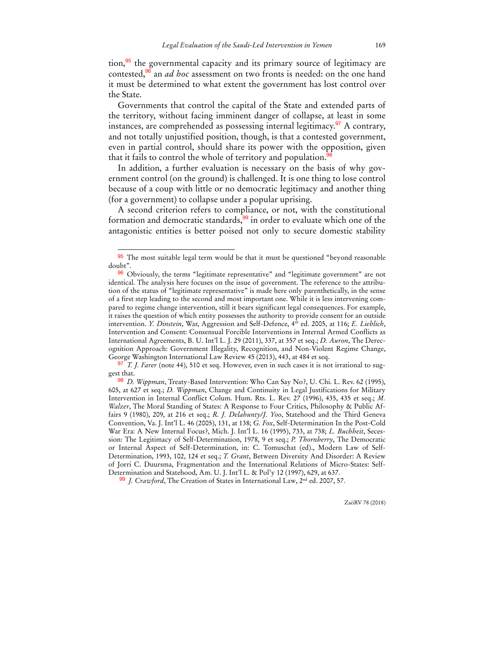tion, $95$  the governmental capacity and its primary source of legitimacy are contested,<sup>96</sup> an *ad hoc* assessment on two fronts is needed: on the one hand it must be determined to what extent the government has lost control over the State.

Governments that control the capital of the State and extended parts of the territory, without facing imminent danger of collapse, at least in some instances, are comprehended as possessing internal legitimacy.<sup>97</sup> A contrary, and not totally unjustified position, though, is that a contested government, even in partial control, should share its power with the opposition, given that it fails to control the whole of territory and population.<sup>9</sup>

In addition, a further evaluation is necessary on the basis of why government control (on the ground) is challenged. It is one thing to lose control because of a coup with little or no democratic legitimacy and another thing (for a government) to collapse under a popular uprising.

A second criterion refers to compliance, or not, with the constitutional formation and democratic standards,<sup>99</sup> in order to evaluate which one of the antagonistic entities is better poised not only to secure domestic stability

 $\overline{a}$ 

99 *J. Crawford*, The Creation of States in International Law, 2nd ed. 2007, 57.

ZaöRV 78 (2018)

<sup>95</sup> The most suitable legal term would be that it must be questioned "beyond reasonable doubt".

<sup>&</sup>lt;sup>96</sup> Obviously, the terms "legitimate representative" and "legitimate government" are not identical. The analysis here focuses on the issue of government. The reference to the attribution of the status of "legitimate representative" is made here only parenthetically, in the sense of a first step leading to the second and most important one. While it is less intervening compared to regime change intervention, still it bears significant legal consequences. For example, it raises the question of which entity possesses the authority to provide consent for an outside intervention. *Y. Dinstein*, War, Aggression and Self-Defence, 4<sup>th</sup> ed. 2005, at 116; *E. Lieblich*, Intervention and Consent: Consensual Forcible Interventions in Internal Armed Conflicts as International Agreements, B. U. Int'l L. J. 29 (2011), 337, at 357 et seq.; *D. Auron*, The Derecognition Approach: Government Illegality, Recognition, and Non-Violent Regime Change, George Washington International Law Review 45 (2013), 443, at 484 et seq.

<sup>97</sup> *T. J. Farer* (note 44), 510 et seq. However, even in such cases it is not irrational to suggest that.

<sup>98</sup> *D. Wippman*, Treaty-Based Intervention: Who Can Say No?, U. Chi. L. Rev. 62 (1995), 605, at 627 et seq.; *D. Wippman*, Change and Continuity in Legal Justifications for Military Intervention in Internal Conflict Colum. Hum. Rts. L. Rev. 27 (1996), 435, 435 et seq.; *M. Walzer*, The Moral Standing of States: A Response to Four Critics, Philosophy & Public Affairs 9 (1980), 209, at 216 et seq.; *R. J. Delahunty/J. Yoo*, Statehood and the Third Geneva Convention, Va. J. Int'l L. 46 (2005), 131, at 138; *G. Fox*, Self-Determination In the Post-Cold War Era: A New Internal Focus?, Mich. J. Int'l L. 16 (1995), 733, at 738; *L. Buchheit*, Secession: The Legitimacy of Self-Determination, 1978, 9 et seq.; *P. Thornberry*, The Democratic or Internal Aspect of Self-Determination, in: C. Tomuschat (ed)., Modern Law of Self-Determination, 1993, 102, 124 et seq.; *T. Grant*, Between Diversity And Disorder: A Review of Jorri C. Duursma, Fragmentation and the International Relations of Micro-States: Self-Determination and Statehood, Am. U. J. Int'l L. & Pol'y 12 (1997), 629, at 637.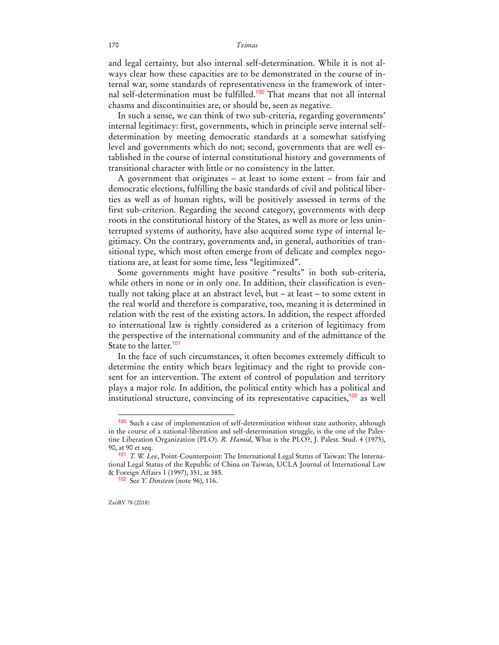and legal certainty, but also internal self-determination. While it is not always clear how these capacities are to be demonstrated in the course of internal war, some standards of representativeness in the framework of internal self-determination must be fulfilled.<sup>100</sup> That means that not all internal chasms and discontinuities are, or should be, seen as negative.

In such a sense, we can think of two sub-criteria, regarding governments' internal legitimacy: first, governments, which in principle serve internal selfdetermination by meeting democratic standards at a somewhat satisfying level and governments which do not; second, governments that are well established in the course of internal constitutional history and governments of transitional character with little or no consistency in the latter.

A government that originates – at least to some extent – from fair and democratic elections, fulfilling the basic standards of civil and political liberties as well as of human rights, will be positively assessed in terms of the first sub-criterion. Regarding the second category, governments with deep roots in the constitutional history of the States, as well as more or less uninterrupted systems of authority, have also acquired some type of internal legitimacy. On the contrary, governments and, in general, authorities of transitional type, which most often emerge from of delicate and complex negotiations are, at least for some time, less "legitimized".

Some governments might have positive "results" in both sub-criteria, while others in none or in only one. In addition, their classification is eventually not taking place at an abstract level, but – at least – to some extent in the real world and therefore is comparative, too, meaning it is determined in relation with the rest of the existing actors. In addition, the respect afforded to international law is rightly considered as a criterion of legitimacy from the perspective of the international community and of the admittance of the State to the latter.<sup>101</sup>

In the face of such circumstances, it often becomes extremely difficult to determine the entity which bears legitimacy and the right to provide consent for an intervention. The extent of control of population and territory plays a major role. In addition, the political entity which has a political and institutional structure, convincing of its representative capacities,  $102$  as well

<sup>100</sup> Such a case of implementation of self-determination without state authority, although in the course of a national-liberation and self-determination struggle, is the one of the Palestine Liberation Organization (PLO). *R. Hamid*, What is the PLO?, J. Palest. Stud. 4 (1975), 90, at 90 et seq.

<sup>101</sup> *T. W. Lee*, Point-Counterpoint: The International Legal Status of Taiwan: The International Legal Status of the Republic of China on Taiwan, UCLA Journal of International Law & Foreign Affairs 1 (1997), 351, at 385.

<sup>102</sup> See *Y. Dinstein* (note 96), 116.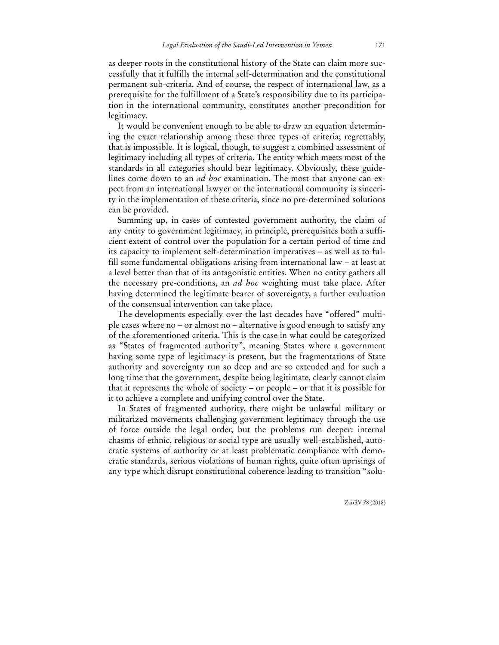as deeper roots in the constitutional history of the State can claim more successfully that it fulfills the internal self-determination and the constitutional permanent sub-criteria. And of course, the respect of international law, as a prerequisite for the fulfillment of a State's responsibility due to its participation in the international community, constitutes another precondition for legitimacy.

It would be convenient enough to be able to draw an equation determining the exact relationship among these three types of criteria; regrettably, that is impossible. It is logical, though, to suggest a combined assessment of legitimacy including all types of criteria. The entity which meets most of the standards in all categories should bear legitimacy. Obviously, these guidelines come down to an *ad hoc* examination. The most that anyone can expect from an international lawyer or the international community is sincerity in the implementation of these criteria, since no pre-determined solutions can be provided.

Summing up, in cases of contested government authority, the claim of any entity to government legitimacy, in principle, prerequisites both a sufficient extent of control over the population for a certain period of time and its capacity to implement self-determination imperatives – as well as to fulfill some fundamental obligations arising from international law – at least at a level better than that of its antagonistic entities. When no entity gathers all the necessary pre-conditions, an *ad hoc* weighting must take place. After having determined the legitimate bearer of sovereignty, a further evaluation of the consensual intervention can take place.

The developments especially over the last decades have "offered" multiple cases where no – or almost no – alternative is good enough to satisfy any of the aforementioned criteria. This is the case in what could be categorized as "States of fragmented authority", meaning States where a government having some type of legitimacy is present, but the fragmentations of State authority and sovereignty run so deep and are so extended and for such a long time that the government, despite being legitimate, clearly cannot claim that it represents the whole of society – or people – or that it is possible for it to achieve a complete and unifying control over the State.

In States of fragmented authority, there might be unlawful military or militarized movements challenging government legitimacy through the use of force outside the legal order, but the problems run deeper: internal chasms of ethnic, religious or social type are usually well-established, autocratic systems of authority or at least problematic compliance with democratic standards, serious violations of human rights, quite often uprisings of any type which disrupt constitutional coherence leading to transition "solu-

ZaöRV 78 (2018)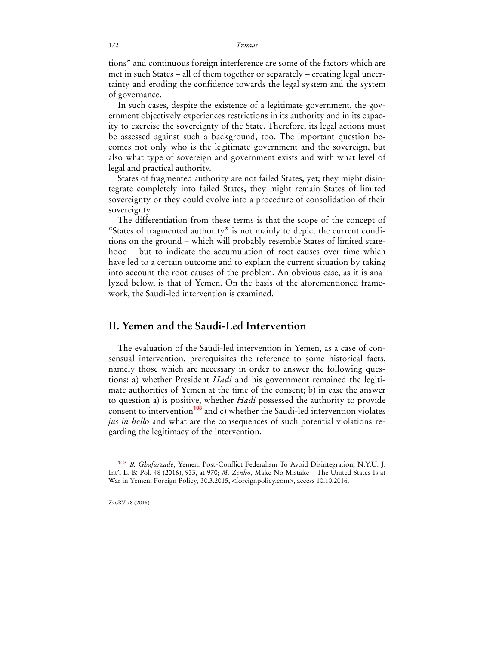tions" and continuous foreign interference are some of the factors which are met in such States – all of them together or separately – creating legal uncertainty and eroding the confidence towards the legal system and the system of governance.

In such cases, despite the existence of a legitimate government, the government objectively experiences restrictions in its authority and in its capacity to exercise the sovereignty of the State. Therefore, its legal actions must be assessed against such a background, too. The important question becomes not only who is the legitimate government and the sovereign, but also what type of sovereign and government exists and with what level of legal and practical authority.

States of fragmented authority are not failed States, yet; they might disintegrate completely into failed States, they might remain States of limited sovereignty or they could evolve into a procedure of consolidation of their sovereignty.

The differentiation from these terms is that the scope of the concept of "States of fragmented authority" is not mainly to depict the current conditions on the ground – which will probably resemble States of limited statehood – but to indicate the accumulation of root-causes over time which have led to a certain outcome and to explain the current situation by taking into account the root-causes of the problem. An obvious case, as it is analyzed below, is that of Yemen. On the basis of the aforementioned framework, the Saudi-led intervention is examined.

## **II. Yemen and the Saudi-Led Intervention**

The evaluation of the Saudi-led intervention in Yemen, as a case of consensual intervention, prerequisites the reference to some historical facts, namely those which are necessary in order to answer the following questions: a) whether President *Hadi* and his government remained the legitimate authorities of Yemen at the time of the consent; b) in case the answer to question a) is positive, whether *Hadi* possessed the authority to provide consent to intervention<sup>103</sup> and c) whether the Saudi-led intervention violates *jus in bello* and what are the consequences of such potential violations regarding the legitimacy of the intervention.

<sup>103</sup> *Β. Ghafarzade*, Yemen: Post-Conflict Federalism To Avoid Disintegration, N.Y.U. J. Int'l L. & Pol. 48 (2016), 933, at 970; *M. Zenko*, Make No Mistake – The United States Is at War in Yemen, Foreign Policy*,* 30.3.2015, <foreignpolicy.com>, access 10.10.2016.

ZaöRV 78 (2018)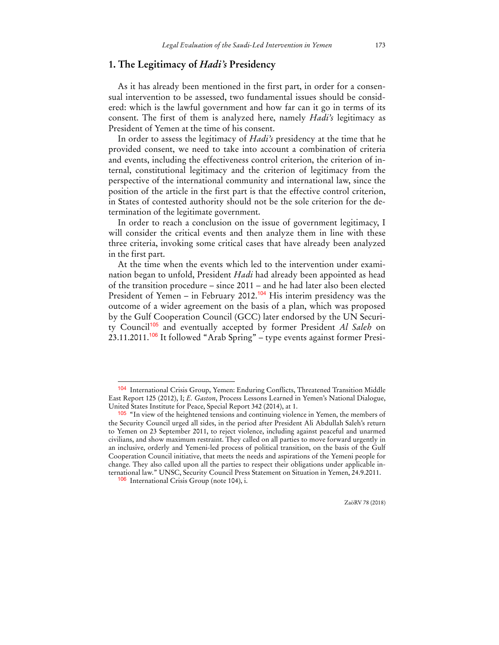### **1. The Legitimacy of** *Hadi's* **Presidency**

As it has already been mentioned in the first part, in order for a consensual intervention to be assessed, two fundamental issues should be considered: which is the lawful government and how far can it go in terms of its consent. The first of them is analyzed here, namely *Hadi's* legitimacy as President of Yemen at the time of his consent.

In order to assess the legitimacy of *Hadi's* presidency at the time that he provided consent, we need to take into account a combination of criteria and events, including the effectiveness control criterion, the criterion of internal, constitutional legitimacy and the criterion of legitimacy from the perspective of the international community and international law, since the position of the article in the first part is that the effective control criterion, in States of contested authority should not be the sole criterion for the determination of the legitimate government.

In order to reach a conclusion on the issue of government legitimacy, I will consider the critical events and then analyze them in line with these three criteria, invoking some critical cases that have already been analyzed in the first part.

At the time when the events which led to the intervention under examination began to unfold, President *Hadi* had already been appointed as head of the transition procedure – since 2011 – and he had later also been elected President of Yemen – in February 2012.<sup>104</sup> His interim presidency was the outcome of a wider agreement on the basis of a plan, which was proposed by the Gulf Cooperation Council (GCC) later endorsed by the UN Security Council<sup>105</sup> and eventually accepted by former President *Al Saleh* on  $23.11.2011$ .<sup>106</sup> It followed "Arab Spring" – type events against former Presi-

<sup>104</sup> International Crisis Group, Yemen: Enduring Conflicts, Threatened Transition Middle East Report 125 (2012), I; *E. Gaston*, Process Lessons Learned in Yemen's National Dialogue, United States Institute for Peace, Special Report 342 (2014), at 1.

<sup>105</sup> "In view of the heightened tensions and continuing violence in Yemen, the members of the Security Council urged all sides, in the period after President Ali Abdullah Saleh's return to Yemen on 23 September 2011, to reject violence, including against peaceful and unarmed civilians, and show maximum restraint. They called on all parties to move forward urgently in an inclusive, orderly and Yemeni-led process of political transition, on the basis of the Gulf Cooperation Council initiative, that meets the needs and aspirations of the Yemeni people for change. They also called upon all the parties to respect their obligations under applicable international law." UNSC, Security Council Press Statement on Situation in Yemen, 24.9.2011.

<sup>106</sup> International Crisis Group (note 104), i.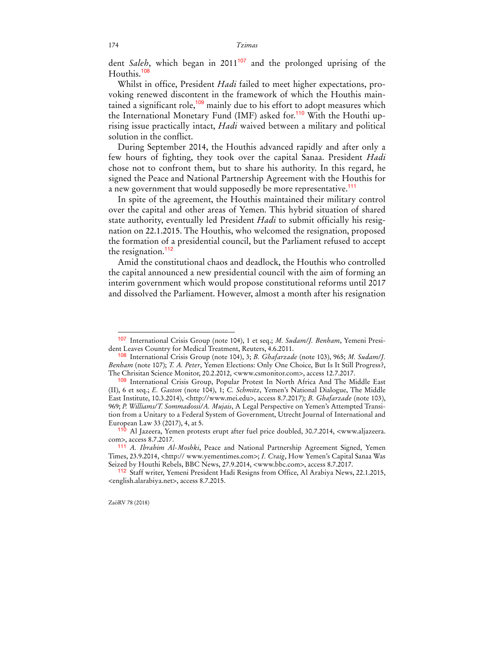dent *Saleh*, which began in 2011<sup>107</sup> and the prolonged uprising of the Houthis.<sup>108</sup>

Whilst in office, President *Hadi* failed to meet higher expectations, provoking renewed discontent in the framework of which the Houthis maintained a significant role,<sup>109</sup> mainly due to his effort to adopt measures which the International Monetary Fund (IMF) asked for.<sup>110</sup> With the Houthi uprising issue practically intact, *Hadi* waived between a military and political solution in the conflict.

During September 2014, the Houthis advanced rapidly and after only a few hours of fighting, they took over the capital Sanaa. President *Hadi* chose not to confront them, but to share his authority. In this regard, he signed the Peace and National Partnership Agreement with the Houthis for a new government that would supposedly be more representative.<sup>111</sup>

In spite of the agreement, the Houthis maintained their military control over the capital and other areas of Yemen. This hybrid situation of shared state authority, eventually led President *Hadi* to submit officially his resignation on 22.1.2015. The Houthis, who welcomed the resignation, proposed the formation of a presidential council, but the Parliament refused to accept the resignation.<sup>112</sup>

Amid the constitutional chaos and deadlock, the Houthis who controlled the capital announced a new presidential council with the aim of forming an interim government which would propose constitutional reforms until 2017 and dissolved the Parliament. However, almost a month after his resignation

<sup>107</sup>International Crisis Group (note 104), 1 et seq.; *M. Sudam/J. Benham*, Yemeni President Leaves Country for Medical Treatment, Reuters, 4.6.2011.

<sup>108</sup>International Crisis Group (note 104), 3; *B. Ghafarzade* (note 103), 965; *M. Sudam/J. Benham* (note 107); *T. A. Peter*, Yemen Elections: Only One Choice, But Is It Still Progress?, The Chrisitan Science Monitor, 20.2.2012, <www.csmonitor.com>, access 12.7.2017.

<sup>109</sup>International Crisis Group, Popular Protest In North Africa And The Middle East (II), 6 et seq.; *E. Gaston* (note 104), 1; *C. Schmitz*, Yemen's National Dialogue, The Middle East Institute, 10.3.2014), <http://www.mei.edu>, access 8.7.2017); *B. Ghafarzade* (note 103), 969; *P. Williams/T. Sommadossi/A. Mujais*, A Legal Perspective on Yemen's Attempted Transition from a Unitary to a Federal System of Government, Utrecht Journal of International and European Law 33 (2017), 4, at 5.

<sup>110</sup> Al Jazeera, Yemen protests erupt after fuel price doubled, 30.7.2014, <www.aljazeera. com>, access 8.7.2017.

<sup>111</sup> *A. Ibrahim Al-Moshki*, Peace and National Partnership Agreement Signed, Yemen Times, 23.9.2014, <http:// www.yementimes.com>; *I. Craig*, How Yemen's Capital Sanaa Was Seized by Houthi Rebels, BBC News, 27.9.2014, <www.bbc.com>, access 8.7.2017.

<sup>112</sup> Staff writer, Yemeni President Hadi Resigns from Office, Al Arabiya News, 22.1.2015, <english.alarabiya.net>, access 8.7.2015.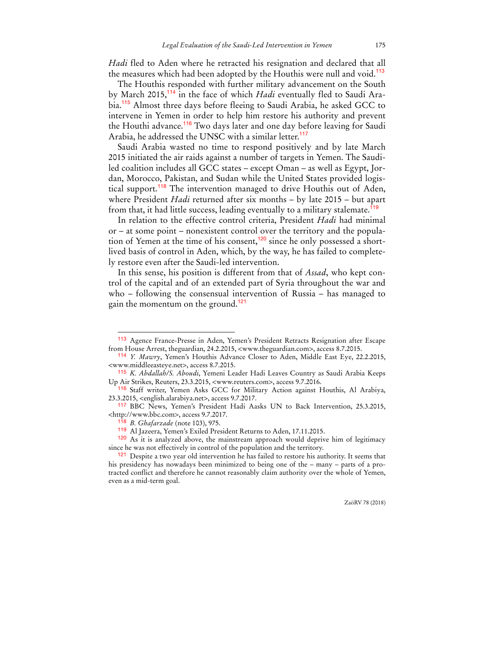*Hadi* fled to Aden where he retracted his resignation and declared that all the measures which had been adopted by the Houthis were null and void.<sup>113</sup>

The Houthis responded with further military advancement on the South by March 2015,114 in the face of which *Hadi* eventually fled to Saudi Arabia.<sup>115</sup> Almost three days before fleeing to Saudi Arabia, he asked GCC to intervene in Yemen in order to help him restore his authority and prevent the Houthi advance.<sup>116</sup> Two days later and one day before leaving for Saudi Arabia, he addressed the UNSC with a similar letter.<sup>117</sup>

Saudi Arabia wasted no time to respond positively and by late March 2015 initiated the air raids against a number of targets in Yemen. The Saudiled coalition includes all GCC states – except Oman – as well as Egypt, Jordan, Morocco, Pakistan, and Sudan while the United States provided logistical support.<sup>118</sup> The intervention managed to drive Houthis out of Aden, where President *Hadi* returned after six months – by late 2015 – but apart from that, it had little success, leading eventually to a military stalemate.<sup>119</sup>

In relation to the effective control criteria, President *Hadi* had minimal or – at some point – nonexistent control over the territory and the population of Yemen at the time of his consent,<sup>120</sup> since he only possessed a shortlived basis of control in Aden, which, by the way, he has failed to completely restore even after the Saudi-led intervention.

In this sense, his position is different from that of *Assad*, who kept control of the capital and of an extended part of Syria throughout the war and who – following the consensual intervention of Russia – has managed to gain the momentum on the ground.<sup>121</sup>

<sup>113</sup> Agence France-Presse in Aden, Yemen's President Retracts Resignation after Escape from House Arrest, theguardian, 24.2.2015, <www.theguardian.com>, access 8.7.2015.

<sup>114</sup> *Y. Mawry*, Yemen's Houthis Advance Closer to Aden, Middle East Eye, 22.2.2015, <www.middleeasteye.net>, access 8.7.2015.

<sup>115</sup> *K. Abdallah/S. Aboudi*, Yemeni Leader Hadi Leaves Country as Saudi Arabia Keeps Up Air Strikes, Reuters, 23.3.2015, <www.reuters.com>, access 9.7.2016.

<sup>116</sup> Staff writer, Yemen Asks GCC for Military Action against Houthis, Al Arabiya, 23.3.2015, <english.alarabiya.net>, access 9.7.2017.

<sup>117</sup> BBC News, Yemen's President Hadi Aasks UN to Back Intervention, 25.3.2015, <http://www.bbc.com>, access 9.7.2017.

<sup>118</sup> *B. Ghafarzade* (note 103), 975.

<sup>119</sup> Al Jazeera, Yemen's Exiled President Returns to Aden, 17.11.2015.

<sup>120</sup> As it is analyzed above, the mainstream approach would deprive him of legitimacy since he was not effectively in control of the population and the territory.

<sup>&</sup>lt;sup>121</sup> Despite a two year old intervention he has failed to restore his authority. It seems that his presidency has nowadays been minimized to being one of the – many – parts of a protracted conflict and therefore he cannot reasonably claim authority over the whole of Yemen, even as a mid-term goal.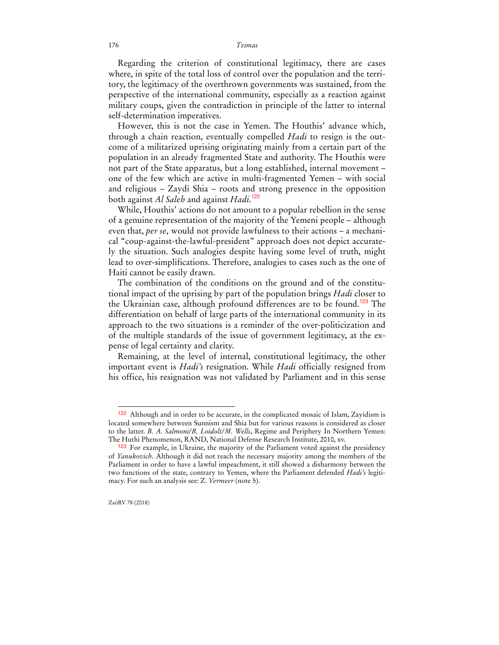Regarding the criterion of constitutional legitimacy, there are cases where, in spite of the total loss of control over the population and the territory, the legitimacy of the overthrown governments was sustained, from the perspective of the international community, especially as a reaction against military coups, given the contradiction in principle of the latter to internal self-determination imperatives.

However, this is not the case in Yemen. The Houthis' advance which, through a chain reaction, eventually compelled *Hadi* to resign is the outcome of a militarized uprising originating mainly from a certain part of the population in an already fragmented State and authority. The Houthis were not part of the State apparatus, but a long established, internal movement – one of the few which are active in multi-fragmented Yemen – with social and religious – Zaydi Shia – roots and strong presence in the opposition both against *Al Saleh* and against *Hadi*. 122

While, Houthis' actions do not amount to a popular rebellion in the sense of a genuine representation of the majority of the Yemeni people – although even that, *per se*, would not provide lawfulness to their actions – a mechanical "coup-against-the-lawful-president" approach does not depict accurately the situation. Such analogies despite having some level of truth, might lead to over-simplifications. Therefore, analogies to cases such as the one of Haiti cannot be easily drawn.

The combination of the conditions on the ground and of the constitutional impact of the uprising by part of the population brings *Hadi* closer to the Ukrainian case, although profound differences are to be found.<sup>123</sup> The differentiation on behalf of large parts of the international community in its approach to the two situations is a reminder of the over-politicization and of the multiple standards of the issue of government legitimacy, at the expense of legal certainty and clarity.

Remaining, at the level of internal, constitutional legitimacy, the other important event is *Hadi's* resignation. While *Hadi* officially resigned from his office, his resignation was not validated by Parliament and in this sense

<sup>122</sup> Although and in order to be accurate, in the complicated mosaic of Islam, Zayidism is located somewhere between Sunnism and Shia but for various reasons is considered as closer to the latter. *B. A. Salmoni/B. Loidolt/M. Wells*, Regime and Periphery In Northern Yemen: The Huthi Phenomenon, RAND, National Defense Research Institute, 2010, xv.

<sup>&</sup>lt;sup>123</sup> For example, in Ukraine, the majority of the Parliament voted against the presidency of *Yanukovich*. Although it did not reach the necessary majority among the members of the Parliament in order to have a lawful impeachment, it still showed a disharmony between the two functions of the state, contrary to Yemen, where the Parliament defended *Hadi's* legitimacy. For such an analysis see: Z. *Vermeer* (note 5).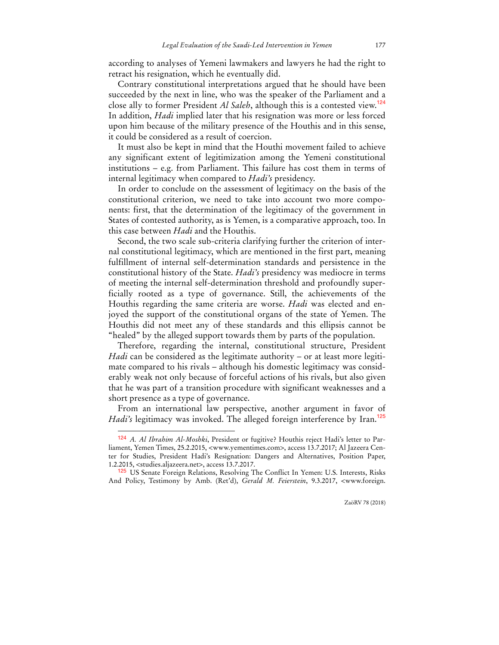according to analyses of Yemeni lawmakers and lawyers he had the right to retract his resignation, which he eventually did.

Contrary constitutional interpretations argued that he should have been succeeded by the next in line, who was the speaker of the Parliament and a close ally to former President *Al Saleh*, although this is a contested view.<sup>124</sup> In addition, *Hadi* implied later that his resignation was more or less forced upon him because of the military presence of the Houthis and in this sense, it could be considered as a result of coercion.

It must also be kept in mind that the Houthi movement failed to achieve any significant extent of legitimization among the Yemeni constitutional institutions – e.g. from Parliament. This failure has cost them in terms of internal legitimacy when compared to *Hadi's* presidency.

In order to conclude on the assessment of legitimacy on the basis of the constitutional criterion, we need to take into account two more components: first, that the determination of the legitimacy of the government in States of contested authority, as is Yemen, is a comparative approach, too. In this case between *Hadi* and the Houthis.

Second, the two scale sub-criteria clarifying further the criterion of internal constitutional legitimacy, which are mentioned in the first part, meaning fulfillment of internal self-determination standards and persistence in the constitutional history of the State. *Hadi's* presidency was mediocre in terms of meeting the internal self-determination threshold and profoundly superficially rooted as a type of governance. Still, the achievements of the Houthis regarding the same criteria are worse. *Hadi* was elected and enjoyed the support of the constitutional organs of the state of Yemen. The Houthis did not meet any of these standards and this ellipsis cannot be "healed" by the alleged support towards them by parts of the population.

Therefore, regarding the internal, constitutional structure, President *Hadi* can be considered as the legitimate authority – or at least more legitimate compared to his rivals – although his domestic legitimacy was considerably weak not only because of forceful actions of his rivals, but also given that he was part of a transition procedure with significant weaknesses and a short presence as a type of governance.

From an international law perspective, another argument in favor of *Hadi's* legitimacy was invoked. The alleged foreign interference by Iran.<sup>125</sup>

<sup>124</sup> *A. Al Ibrahim Al-Moshki*, President or fugitive? Houthis reject Hadi's letter to Parliament, Yemen Times, 25.2.2015, <www.yementimes.com>, access 13.7.2017; Al Jazeera Center for Studies, President Hadi's Resignation: Dangers and Alternatives, Position Paper, 1.2.2015, <studies.aljazeera.net>, access 13.7.2017.

<sup>125</sup> US Senate Foreign Relations, Resolving The Conflict In Yemen: U.S. Interests, Risks And Policy, Testimony by Amb. (Ret'd), *Gerald M. Feierstein*, 9.3.2017, <www.foreign.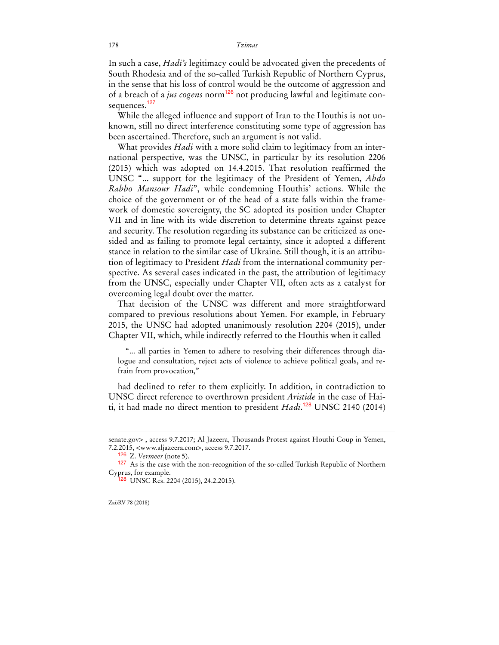In such a case, *Hadi's* legitimacy could be advocated given the precedents of South Rhodesia and of the so-called Turkish Republic of Northern Cyprus, in the sense that his loss of control would be the outcome of aggression and of a breach of a *jus cogens* norm<sup>126</sup> not producing lawful and legitimate consequences.<sup>127</sup>

While the alleged influence and support of Iran to the Houthis is not unknown, still no direct interference constituting some type of aggression has been ascertained. Therefore, such an argument is not valid.

What provides *Hadi* with a more solid claim to legitimacy from an international perspective, was the UNSC, in particular by its resolution 2206 (2015) which was adopted on 14.4.2015. That resolution reaffirmed the UNSC "... support for the legitimacy of the President of Yemen, *Abdo Rabbo Mansour Hadi*", while condemning Houthis' actions. While the choice of the government or of the head of a state falls within the framework of domestic sovereignty, the SC adopted its position under Chapter VII and in line with its wide discretion to determine threats against peace and security. The resolution regarding its substance can be criticized as onesided and as failing to promote legal certainty, since it adopted a different stance in relation to the similar case of Ukraine. Still though, it is an attribution of legitimacy to President *Hadi* from the international community perspective. As several cases indicated in the past, the attribution of legitimacy from the UNSC, especially under Chapter VII, often acts as a catalyst for overcoming legal doubt over the matter.

That decision of the UNSC was different and more straightforward compared to previous resolutions about Yemen. For example, in February 2015, the UNSC had adopted unanimously resolution 2204 (2015), under Chapter VII, which, while indirectly referred to the Houthis when it called

"... all parties in Yemen to adhere to resolving their differences through dialogue and consultation, reject acts of violence to achieve political goals, and refrain from provocation,"

had declined to refer to them explicitly. In addition, in contradiction to UNSC direct reference to overthrown president *Aristide* in the case of Haiti, it had made no direct mention to president *Hadi*. <sup>128</sup> UNSC 2140 (2014)

ZaöRV 78 (2018)

senate.gov> , access 9.7.2017; Al Jazeera, Thousands Protest against Houthi Coup in Yemen, 7.2.2015, <www.aljazeera.com>, access 9.7.2017.

<sup>126</sup>Z. *Vermeer* (note 5).

<sup>127</sup> As is the case with the non-recognition of the so-called Turkish Republic of Northern Cyprus, for example.

<sup>&</sup>lt;sup>28</sup> UNSC Res. 2204 (2015), 24.2.2015).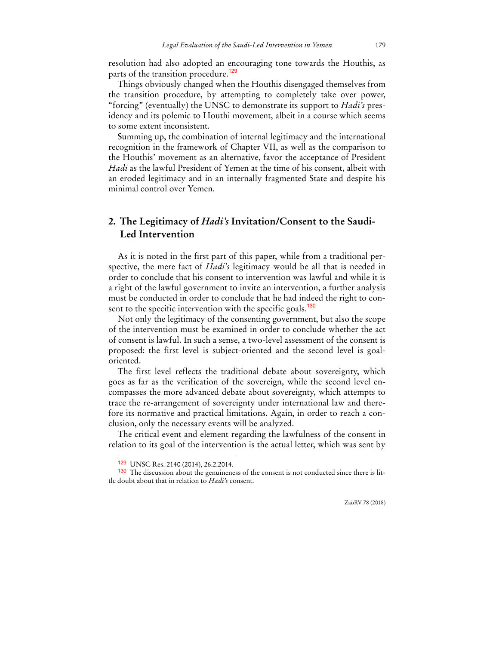resolution had also adopted an encouraging tone towards the Houthis, as parts of the transition procedure.<sup>129</sup>

Things obviously changed when the Houthis disengaged themselves from the transition procedure, by attempting to completely take over power, "forcing" (eventually) the UNSC to demonstrate its support to *Hadi's* presidency and its polemic to Houthi movement, albeit in a course which seems to some extent inconsistent.

Summing up, the combination of internal legitimacy and the international recognition in the framework of Chapter VII, as well as the comparison to the Houthis' movement as an alternative, favor the acceptance of President *Hadi* as the lawful President of Yemen at the time of his consent, albeit with an eroded legitimacy and in an internally fragmented State and despite his minimal control over Yemen.

## **2. The Legitimacy of** *Hadi's* **Invitation/Consent to the Saudi-Led Intervention**

As it is noted in the first part of this paper, while from a traditional perspective, the mere fact of *Hadi's* legitimacy would be all that is needed in order to conclude that his consent to intervention was lawful and while it is a right of the lawful government to invite an intervention, a further analysis must be conducted in order to conclude that he had indeed the right to consent to the specific intervention with the specific goals.<sup>130</sup>

Not only the legitimacy of the consenting government, but also the scope of the intervention must be examined in order to conclude whether the act of consent is lawful. In such a sense, a two-level assessment of the consent is proposed: the first level is subject-oriented and the second level is goaloriented.

The first level reflects the traditional debate about sovereignty, which goes as far as the verification of the sovereign, while the second level encompasses the more advanced debate about sovereignty, which attempts to trace the re-arrangement of sovereignty under international law and therefore its normative and practical limitations. Again, in order to reach a conclusion, only the necessary events will be analyzed.

The critical event and element regarding the lawfulness of the consent in relation to its goal of the intervention is the actual letter, which was sent by

<sup>129</sup> UNSC Res. 2140 (2014), 26.2.2014.

<sup>130</sup> The discussion about the genuineness of the consent is not conducted since there is little doubt about that in relation to *Hadi's* consent.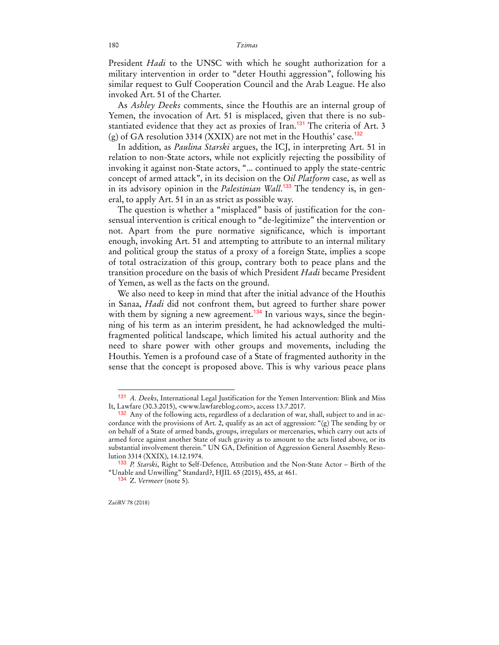President *Hadi* to the UNSC with which he sought authorization for a military intervention in order to "deter Houthi aggression", following his similar request to Gulf Cooperation Council and the Arab League. He also invoked Art. 51 of the Charter.

As *Ashley Deeks* comments, since the Houthis are an internal group of Yemen, the invocation of Art. 51 is misplaced, given that there is no substantiated evidence that they act as proxies of Iran.<sup>131</sup> The criteria of Art. 3 (g) of GA resolution 3314 (XXIX) are not met in the Houthis' case.<sup>132</sup>

In addition, as *Paulina Starski* argues, the ICJ, in interpreting Art. 51 in relation to non-State actors, while not explicitly rejecting the possibility of invoking it against non-State actors, "... continued to apply the state-centric concept of armed attack", in its decision on the *Oil Platform* case, as well as in its advisory opinion in the *Palestinian Wall*. 133 The tendency is, in general, to apply Art. 51 in an as strict as possible way.

The question is whether a "misplaced" basis of justification for the consensual intervention is critical enough to "de-legitimize" the intervention or not. Apart from the pure normative significance, which is important enough, invoking Art. 51 and attempting to attribute to an internal military and political group the status of a proxy of a foreign State, implies a scope of total ostracization of this group, contrary both to peace plans and the transition procedure on the basis of which President *Hadi* became President of Yemen, as well as the facts on the ground.

We also need to keep in mind that after the initial advance of the Houthis in Sanaa, *Hadi* did not confront them, but agreed to further share power with them by signing a new agreement.<sup>134</sup> In various ways, since the beginning of his term as an interim president, he had acknowledged the multifragmented political landscape, which limited his actual authority and the need to share power with other groups and movements, including the Houthis. Yemen is a profound case of a State of fragmented authority in the sense that the concept is proposed above. This is why various peace plans

<sup>131</sup> *A. Deeks*, International Legal Justification for the Yemen Intervention: Blink and Miss It, Lawfare (30.3.2015), <www.lawfareblog.com>, access 13.7.2017.

 $132$  Any of the following acts, regardless of a declaration of war, shall, subject to and in accordance with the provisions of Art. 2, qualify as an act of aggression: " $(g)$  The sending by or on behalf of a State of armed bands, groups, irregulars or mercenaries, which carry out acts of armed force against another State of such gravity as to amount to the acts listed above, or its substantial involvement therein." UN GA, Definition of Aggression General Assembly Resolution 3314 (XXIX), 14.12.1974.

<sup>133</sup> *P. Starski*, Right to Self-Defence, Attribution and the Non-State Actor – Birth of the "Unable and Unwilling" Standard?, HJIL 65 (2015), 455, at 461.

<sup>134</sup> Z. *Vermeer* (note 5).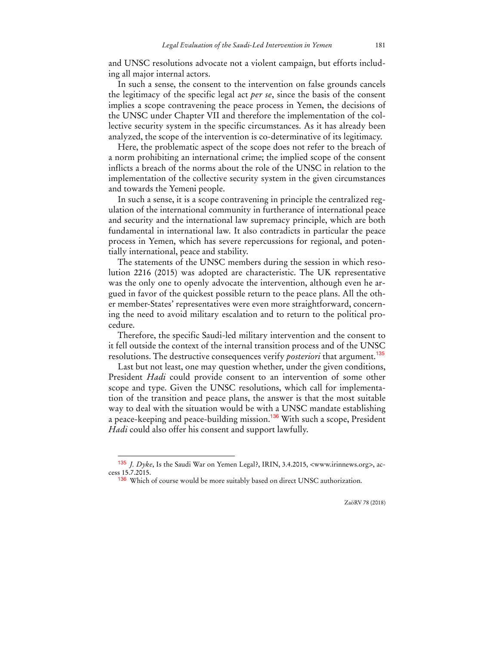and UNSC resolutions advocate not a violent campaign, but efforts including all major internal actors.

In such a sense, the consent to the intervention on false grounds cancels the legitimacy of the specific legal act *per se*, since the basis of the consent implies a scope contravening the peace process in Yemen, the decisions of the UNSC under Chapter VII and therefore the implementation of the collective security system in the specific circumstances. As it has already been analyzed, the scope of the intervention is co-determinative of its legitimacy.

Here, the problematic aspect of the scope does not refer to the breach of a norm prohibiting an international crime; the implied scope of the consent inflicts a breach of the norms about the role of the UNSC in relation to the implementation of the collective security system in the given circumstances and towards the Yemeni people.

In such a sense, it is a scope contravening in principle the centralized regulation of the international community in furtherance of international peace and security and the international law supremacy principle, which are both fundamental in international law. It also contradicts in particular the peace process in Yemen, which has severe repercussions for regional, and potentially international, peace and stability.

The statements of the UNSC members during the session in which resolution 2216 (2015) was adopted are characteristic. The UK representative was the only one to openly advocate the intervention, although even he argued in favor of the quickest possible return to the peace plans. All the other member-States' representatives were even more straightforward, concerning the need to avoid military escalation and to return to the political procedure.

Therefore, the specific Saudi-led military intervention and the consent to it fell outside the context of the internal transition process and of the UNSC resolutions. The destructive consequences verify *posteriori* that argument.<sup>135</sup>

Last but not least, one may question whether, under the given conditions, President *Hadi* could provide consent to an intervention of some other scope and type. Given the UNSC resolutions, which call for implementation of the transition and peace plans, the answer is that the most suitable way to deal with the situation would be with a UNSC mandate establishing a peace-keeping and peace-building mission.<sup>136</sup> With such a scope, President *Hadi* could also offer his consent and support lawfully.

<sup>135</sup> *J. Dyke*, Is the Saudi War on Yemen Legal?, IRIN, 3.4.2015, <www.irinnews.org>, access 15.7.2015.

<sup>136</sup> Which of course would be more suitably based on direct UNSC authorization.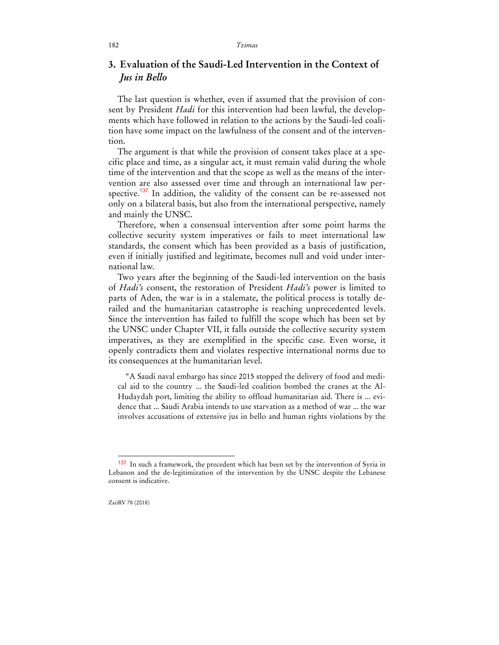## **3. Evaluation of the Saudi-Led Intervention in the Context of**  *Jus in Bello*

The last question is whether, even if assumed that the provision of consent by President *Hadi* for this intervention had been lawful, the developments which have followed in relation to the actions by the Saudi-led coalition have some impact on the lawfulness of the consent and of the intervention.

The argument is that while the provision of consent takes place at a specific place and time, as a singular act, it must remain valid during the whole time of the intervention and that the scope as well as the means of the intervention are also assessed over time and through an international law perspective.<sup>137</sup> In addition, the validity of the consent can be re-assessed not only on a bilateral basis, but also from the international perspective, namely and mainly the UNSC.

Therefore, when a consensual intervention after some point harms the collective security system imperatives or fails to meet international law standards, the consent which has been provided as a basis of justification, even if initially justified and legitimate, becomes null and void under international law.

Two years after the beginning of the Saudi-led intervention on the basis of *Hadi's* consent, the restoration of President *Hadi's* power is limited to parts of Aden, the war is in a stalemate, the political process is totally derailed and the humanitarian catastrophe is reaching unprecedented levels. Since the intervention has failed to fulfill the scope which has been set by the UNSC under Chapter VII, it falls outside the collective security system imperatives, as they are exemplified in the specific case. Even worse, it openly contradicts them and violates respective international norms due to its consequences at the humanitarian level.

"A Saudi naval embargo has since 2015 stopped the delivery of food and medical aid to the country ... the Saudi-led coalition bombed the cranes at the Al-Hudaydah port, limiting the ability to offload humanitarian aid. There is ... evidence that ... Saudi Arabia intends to use starvation as a method of war ... the war involves accusations of extensive jus in bello and human rights violations by the

<sup>&</sup>lt;sup>137</sup> In such a framework, the precedent which has been set by the intervention of Syria in Lebanon and the de-legitimization of the intervention by the UNSC despite the Lebanese consent is indicative.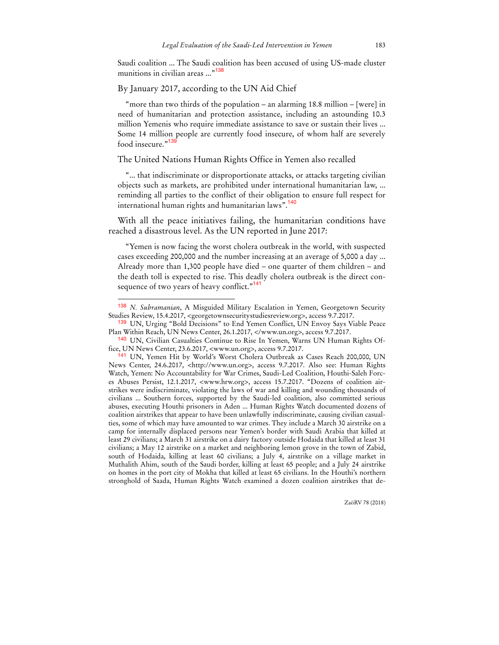Saudi coalition ... The Saudi coalition has been accused of using US-made cluster munitions in civilian areas ..."<sup>138</sup>

### By January 2017, according to the UN Aid Chief

 $\overline{a}$ 

"more than two thirds of the population – an alarming 18.8 million – [were] in need of humanitarian and protection assistance, including an astounding 10.3 million Yemenis who require immediate assistance to save or sustain their lives ... Some 14 million people are currently food insecure, of whom half are severely food insecure."<sup>13</sup>

### The United Nations Human Rights Office in Yemen also recalled

"... that indiscriminate or disproportionate attacks, or attacks targeting civilian objects such as markets, are prohibited under international humanitarian law, ... reminding all parties to the conflict of their obligation to ensure full respect for international human rights and humanitarian laws".<sup>140</sup>

With all the peace initiatives failing, the humanitarian conditions have reached a disastrous level. As the UN reported in June 2017:

"Yemen is now facing the worst cholera outbreak in the world, with suspected cases exceeding 200,000 and the number increasing at an average of 5,000 a day ... Already more than 1,300 people have died – one quarter of them children – and the death toll is expected to rise. This deadly cholera outbreak is the direct consequence of two years of heavy conflict."<sup>141</sup>

ZaöRV 78 (2018)

<sup>138</sup> *N. Subramanian*, A Misguided Military Escalation in Yemen, Georgetown Security Studies Review, 15.4.2017, <georgetownsecuritystudiesreview.org>, access 9.7.2017.

<sup>&</sup>lt;sup>139</sup> UN, Urging "Bold Decisions" to End Yemen Conflict, UN Envoy Says Viable Peace Plan Within Reach, UN News Center, 26.1.2017, </www.un.org>, access 9.7.2017.

<sup>140</sup> UN, Civilian Casualties Continue to Rise In Yemen, Warns UN Human Rights Office, UN News Center, 23.6.2017, <www.un.org>, access 9.7.2017.

<sup>141</sup> UN, Yemen Hit by World's Worst Cholera Outbreak as Cases Reach 200,000, UN News Center, 24.6.2017, <http://www.un.org>, access 9.7.2017. Also see: Human Rights Watch, Yemen: No Accountability for War Crimes, Saudi-Led Coalition, Houthi-Saleh Forces Abuses Persist, 12.1.2017, <www.hrw.org>, access 15.7.2017. "Dozens of coalition airstrikes were indiscriminate, violating the laws of war and killing and wounding thousands of civilians ... Southern forces, supported by the Saudi-led coalition, also committed serious abuses, executing Houthi prisoners in Aden ... Human Rights Watch documented dozens of coalition airstrikes that appear to have been unlawfully indiscriminate, causing civilian casualties, some of which may have amounted to war crimes. They include a March 30 airstrike on a camp for internally displaced persons near Yemen's border with Saudi Arabia that killed at least 29 civilians; a March 31 airstrike on a dairy factory outside Hodaida that killed at least 31 civilians; a May 12 airstrike on a market and neighboring lemon grove in the town of Zabid, south of Hodaida, killing at least 60 civilians; a July 4, airstrike on a village market in Muthalith Ahim, south of the Saudi border, killing at least 65 people; and a July 24 airstrike on homes in the port city of Mokha that killed at least 65 civilians. In the Houthi's northern stronghold of Saada, Human Rights Watch examined a dozen coalition airstrikes that de-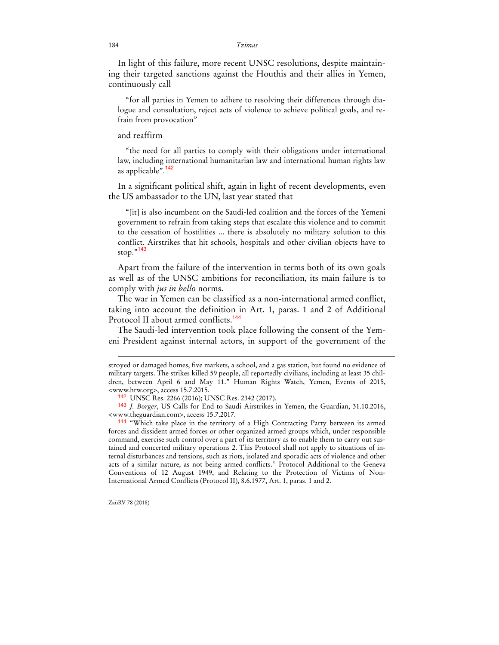In light of this failure, more recent UNSC resolutions, despite maintaining their targeted sanctions against the Houthis and their allies in Yemen, continuously call

"for all parties in Yemen to adhere to resolving their differences through dialogue and consultation, reject acts of violence to achieve political goals, and refrain from provocation"

### and reaffirm

"the need for all parties to comply with their obligations under international law, including international humanitarian law and international human rights law as applicable".<sup>142</sup>

In a significant political shift, again in light of recent developments, even the US ambassador to the UN, last year stated that

"[it] is also incumbent on the Saudi-led coalition and the forces of the Yemeni government to refrain from taking steps that escalate this violence and to commit to the cessation of hostilities ... there is absolutely no military solution to this conflict. Airstrikes that hit schools, hospitals and other civilian objects have to stop."<sup>143</sup>

Apart from the failure of the intervention in terms both of its own goals as well as of the UNSC ambitions for reconciliation, its main failure is to comply with *jus in bello* norms.

The war in Yemen can be classified as a non-international armed conflict, taking into account the definition in Art. 1, paras. 1 and 2 of Additional Protocol II about armed conflicts.<sup>144</sup>

The Saudi-led intervention took place following the consent of the Yemeni President against internal actors, in support of the government of the

stroyed or damaged homes, five markets, a school, and a gas station, but found no evidence of military targets. The strikes killed 59 people, all reportedly civilians, including at least 35 children, between April 6 and May 11." Human Rights Watch, Yemen, Events of 2015, <www.hrw.org>, access 15.7.2015.

<sup>142</sup> UNSC Res. 2266 (2016); UNSC Res. 2342 (2017).

<sup>143</sup> *J. Borger*, US Calls for End to Saudi Airstrikes in Yemen, the Guardian, 31.10.2016, <www.theguardian.com>, access 15.7.2017.

<sup>144</sup> "Which take place in the territory of a High Contracting Party between its armed forces and dissident armed forces or other organized armed groups which, under responsible command, exercise such control over a part of its territory as to enable them to carry out sustained and concerted military operations 2. This Protocol shall not apply to situations of internal disturbances and tensions, such as riots, isolated and sporadic acts of violence and other acts of a similar nature, as not being armed conflicts." Protocol Additional to the Geneva Conventions of 12 August 1949, and Relating to the Protection of Victims of Non-International Armed Conflicts (Protocol II), 8.6.1977, Art. 1, paras. 1 and 2.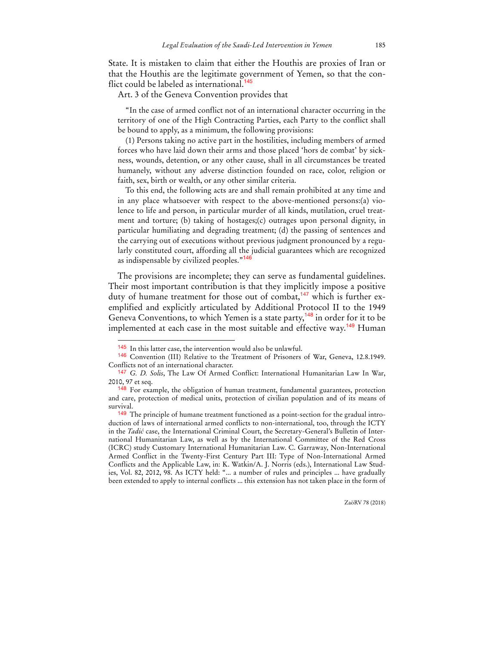State. It is mistaken to claim that either the Houthis are proxies of Iran or that the Houthis are the legitimate government of Yemen, so that the conflict could be labeled as international.<sup>145</sup>

Art. 3 of the Geneva Convention provides that

"In the case of armed conflict not of an international character occurring in the territory of one of the High Contracting Parties, each Party to the conflict shall be bound to apply, as a minimum, the following provisions:

(1) Persons taking no active part in the hostilities, including members of armed forces who have laid down their arms and those placed 'hors de combat' by sickness, wounds, detention, or any other cause, shall in all circumstances be treated humanely, without any adverse distinction founded on race, color, religion or faith, sex, birth or wealth, or any other similar criteria.

To this end, the following acts are and shall remain prohibited at any time and in any place whatsoever with respect to the above-mentioned persons:(a) violence to life and person, in particular murder of all kinds, mutilation, cruel treatment and torture; (b) taking of hostages;(c) outrages upon personal dignity, in particular humiliating and degrading treatment; (d) the passing of sentences and the carrying out of executions without previous judgment pronounced by a regularly constituted court, affording all the judicial guarantees which are recognized as indispensable by civilized peoples."<sup>146</sup>

The provisions are incomplete; they can serve as fundamental guidelines. Their most important contribution is that they implicitly impose a positive duty of humane treatment for those out of combat,<sup>147</sup> which is further exemplified and explicitly articulated by Additional Protocol II to the 1949 Geneva Conventions, to which Yemen is a state party,<sup>148</sup> in order for it to be implemented at each case in the most suitable and effective way.<sup>149</sup> Human

 $\ddot{ }$ 

ZaöRV 78 (2018)

<sup>145</sup> In this latter case, the intervention would also be unlawful.

<sup>146</sup> Convention (III) Relative to the Treatment of Prisoners of War, Geneva, 12.8.1949. Conflicts not of an international character.

<sup>147</sup> *G. D. Solis*, The Law Of Armed Conflict: International Humanitarian Law In War, 2010, 97 et seq.

<sup>148</sup> For example, the obligation of human treatment, fundamental guarantees, protection and care, protection of medical units, protection of civilian population and of its means of survival.

<sup>&</sup>lt;sup>149</sup> The principle of humane treatment functioned as a point-section for the gradual introduction of laws of international armed conflicts to non-international, too, through the ICTY in the *Tadić* case, the International Criminal Court, the Secretary-General's Bulletin of International Humanitarian Law, as well as by the International Committee of the Red Cross (ICRC) study Customary International Humanitarian Law. C. Garraway, Non-International Armed Conflict in the Twenty-First Century Part III: Type of Non-International Armed Conflicts and the Applicable Law, in: K. Watkin/A. J. Norris (eds.), International Law Studies, Vol. 82, 2012, 98. As ICTY held: "... a number of rules and principles ... have gradually been extended to apply to internal conflicts ... this extension has not taken place in the form of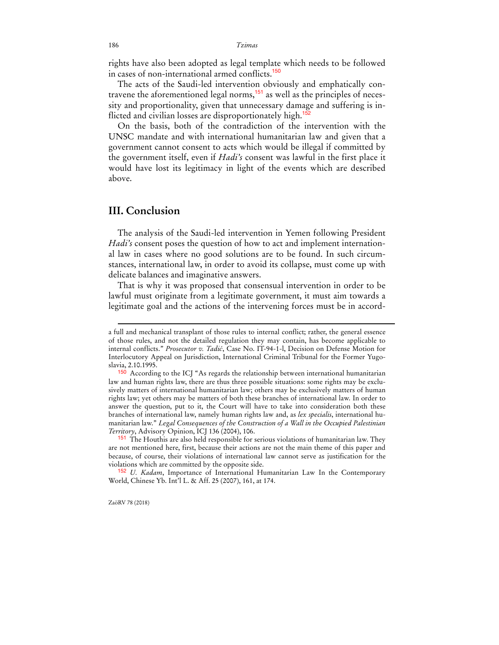rights have also been adopted as legal template which needs to be followed in cases of non-international armed conflicts.<sup>150</sup>

The acts of the Saudi-led intervention obviously and emphatically contravene the aforementioned legal norms,151 as well as the principles of necessity and proportionality, given that unnecessary damage and suffering is inflicted and civilian losses are disproportionately high.<sup>15</sup>

On the basis, both of the contradiction of the intervention with the UNSC mandate and with international humanitarian law and given that a government cannot consent to acts which would be illegal if committed by the government itself, even if *Hadi's* consent was lawful in the first place it would have lost its legitimacy in light of the events which are described above.

## **III. Conclusion**

The analysis of the Saudi-led intervention in Yemen following President *Hadi's* consent poses the question of how to act and implement international law in cases where no good solutions are to be found. In such circumstances, international law, in order to avoid its collapse, must come up with delicate balances and imaginative answers.

That is why it was proposed that consensual intervention in order to be lawful must originate from a legitimate government, it must aim towards a legitimate goal and the actions of the intervening forces must be in accord-

ZaöRV 78 (2018)

a full and mechanical transplant of those rules to internal conflict; rather, the general essence of those rules, and not the detailed regulation they may contain, has become applicable to internal conflicts." *Prosecutor v. Tadić*, Case No. IT-94-1-l, Decision on Defense Motion for Interlocutory Appeal on Jurisdiction, International Criminal Tribunal for the Former Yugoslavia, 2.10.1995.

<sup>150</sup> According to the ICJ "As regards the relationship between international humanitarian law and human rights law, there are thus three possible situations: some rights may be exclusively matters of international humanitarian law; others may be exclusively matters of human rights law; yet others may be matters of both these branches of international law. In order to answer the question, put to it, the Court will have to take into consideration both these branches of international law, namely human rights law and, as *lex specialis*, international humanitarian law." *Legal Consequences of the Construction of a Wall in the Occupied Palestinian Territory*, Advisory Opinion, ICJ 136 (2004), 106.

<sup>151</sup> The Houthis are also held responsible for serious violations of humanitarian law. They are not mentioned here, first, because their actions are not the main theme of this paper and because, of course, their violations of international law cannot serve as justification for the violations which are committed by the opposite side.

<sup>152</sup> *U. Kadam*, Importance of International Humanitarian Law In the Contemporary World, Chinese Yb. Int'l L. & Aff. 25 (2007), 161, at 174.